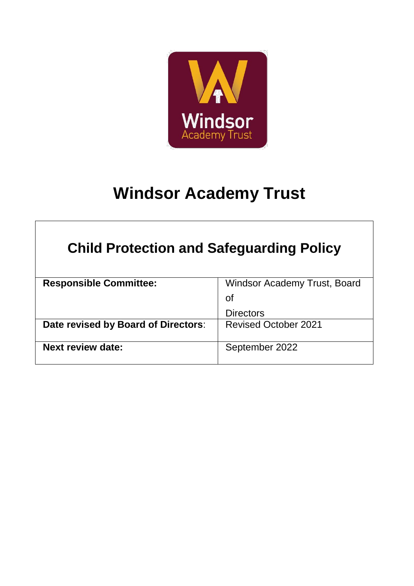

# **Windsor Academy Trust**

| <b>Child Protection and Safeguarding Policy</b> |                                     |  |
|-------------------------------------------------|-------------------------------------|--|
| <b>Responsible Committee:</b>                   | <b>Windsor Academy Trust, Board</b> |  |
|                                                 | <b>of</b>                           |  |
|                                                 | <b>Directors</b>                    |  |
| Date revised by Board of Directors:             | <b>Revised October 2021</b>         |  |
| <b>Next review date:</b>                        | September 2022                      |  |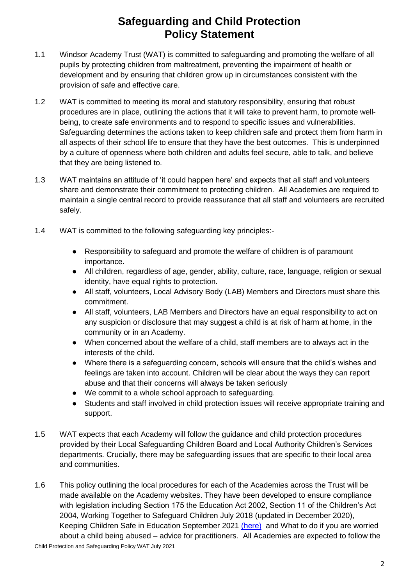# **Safeguarding and Child Protection Policy Statement**

- 1.1 Windsor Academy Trust (WAT) is committed to safeguarding and promoting the welfare of all pupils by protecting children from maltreatment, preventing the impairment of health or development and by ensuring that children grow up in circumstances consistent with the provision of safe and effective care.
- 1.2 WAT is committed to meeting its moral and statutory responsibility, ensuring that robust procedures are in place, outlining the actions that it will take to prevent harm, to promote wellbeing, to create safe environments and to respond to specific issues and vulnerabilities. Safeguarding determines the actions taken to keep children safe and protect them from harm in all aspects of their school life to ensure that they have the best outcomes. This is underpinned by a culture of openness where both children and adults feel secure, able to talk, and believe that they are being listened to.
- 1.3 WAT maintains an attitude of 'it could happen here' and expects that all staff and volunteers share and demonstrate their commitment to protecting children. All Academies are required to maintain a single central record to provide reassurance that all staff and volunteers are recruited safely.
- 1.4 WAT is committed to the following safeguarding key principles:-
	- Responsibility to safeguard and promote the welfare of children is of paramount importance.
	- All children, regardless of age, gender, ability, culture, race, language, religion or sexual identity, have equal rights to protection.
	- All staff, volunteers, Local Advisory Body (LAB) Members and Directors must share this commitment.
	- All staff, volunteers, LAB Members and Directors have an equal responsibility to act on any suspicion or disclosure that may suggest a child is at risk of harm at home, in the community or in an Academy.
	- When concerned about the welfare of a child, staff members are to always act in the interests of the child.
	- Where there is a safeguarding concern, schools will ensure that the child's wishes and feelings are taken into account. Children will be clear about the ways they can report abuse and that their concerns will always be taken seriously
	- We commit to a whole school approach to safeguarding.
	- Students and staff involved in child protection issues will receive appropriate training and support.
- 1.5 WAT expects that each Academy will follow the guidance and child protection procedures provided by their Local Safeguarding Children Board and Local Authority Children's Services departments. Crucially, there may be safeguarding issues that are specific to their local area and communities.
- 1.6 This policy outlining the local procedures for each of the Academies across the Trust will be made available on the Academy websites. They have been developed to ensure compliance with legislation including Section 175 the Education Act 2002, Section 11 of the Children's Act 2004, Working Together to Safeguard Children July 2018 (updated in December 2020), Keeping Children Safe in Education September 2021 [\(here\)](about:blank) and What to do if you are worried about a child being abused – advice for practitioners. All Academies are expected to follow the

Child Protection and Safeguarding Policy WAT July 2021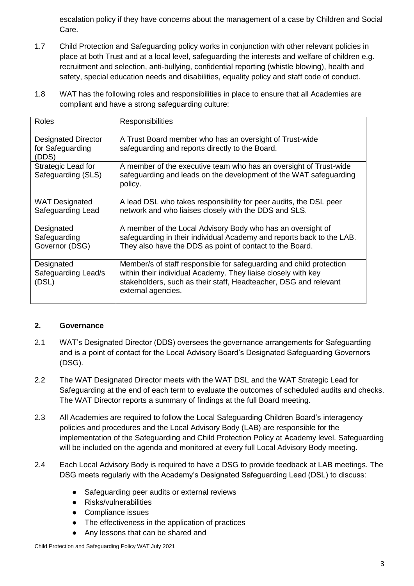escalation policy if they have concerns about the management of a case by Children and Social Care.

- 1.7 Child Protection and Safeguarding policy works in conjunction with other relevant policies in place at both Trust and at a local level, safeguarding the interests and welfare of children e.g. recruitment and selection, anti-bullying, confidential reporting (whistle blowing), health and safety, special education needs and disabilities, equality policy and staff code of conduct.
- 1.8 WAT has the following roles and responsibilities in place to ensure that all Academies are compliant and have a strong safeguarding culture:

| Roles                                                   | Responsibilities                                                                                                                                                                                                               |
|---------------------------------------------------------|--------------------------------------------------------------------------------------------------------------------------------------------------------------------------------------------------------------------------------|
| <b>Designated Director</b><br>for Safeguarding<br>(DDS) | A Trust Board member who has an oversight of Trust-wide<br>safeguarding and reports directly to the Board.                                                                                                                     |
| Strategic Lead for<br>Safeguarding (SLS)                | A member of the executive team who has an oversight of Trust-wide<br>safeguarding and leads on the development of the WAT safeguarding<br>policy.                                                                              |
| <b>WAT Designated</b><br>Safeguarding Lead              | A lead DSL who takes responsibility for peer audits, the DSL peer<br>network and who liaises closely with the DDS and SLS.                                                                                                     |
| Designated<br>Safeguarding<br>Governor (DSG)            | A member of the Local Advisory Body who has an oversight of<br>safeguarding in their individual Academy and reports back to the LAB.<br>They also have the DDS as point of contact to the Board.                               |
| Designated<br>Safeguarding Lead/s<br>(DSL)              | Member/s of staff responsible for safeguarding and child protection<br>within their individual Academy. They liaise closely with key<br>stakeholders, such as their staff, Headteacher, DSG and relevant<br>external agencies. |

## **2. Governance**

- 2.1 WAT's Designated Director (DDS) oversees the governance arrangements for Safeguarding and is a point of contact for the Local Advisory Board's Designated Safeguarding Governors (DSG).
- 2.2 The WAT Designated Director meets with the WAT DSL and the WAT Strategic Lead for Safeguarding at the end of each term to evaluate the outcomes of scheduled audits and checks. The WAT Director reports a summary of findings at the full Board meeting.
- 2.3 All Academies are required to follow the Local Safeguarding Children Board's interagency policies and procedures and the Local Advisory Body (LAB) are responsible for the implementation of the Safeguarding and Child Protection Policy at Academy level. Safeguarding will be included on the agenda and monitored at every full Local Advisory Body meeting.
- 2.4 Each Local Advisory Body is required to have a DSG to provide feedback at LAB meetings. The DSG meets regularly with the Academy's Designated Safeguarding Lead (DSL) to discuss:
	- Safeguarding peer audits or external reviews
	- Risks/vulnerabilities
	- Compliance issues
	- The effectiveness in the application of practices
	- Any lessons that can be shared and

Child Protection and Safeguarding Policy WAT July 2021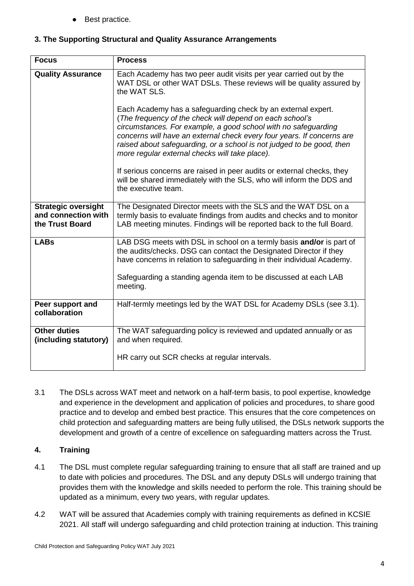Best practice.

## **3. The Supporting Structural and Quality Assurance Arrangements**

| <b>Focus</b>                                                         | <b>Process</b>                                                                                                                                                                                                                                                                                                                                                                                  |
|----------------------------------------------------------------------|-------------------------------------------------------------------------------------------------------------------------------------------------------------------------------------------------------------------------------------------------------------------------------------------------------------------------------------------------------------------------------------------------|
| <b>Quality Assurance</b>                                             | Each Academy has two peer audit visits per year carried out by the<br>WAT DSL or other WAT DSLs. These reviews will be quality assured by<br>the WAT SLS.                                                                                                                                                                                                                                       |
|                                                                      | Each Academy has a safeguarding check by an external expert.<br>(The frequency of the check will depend on each school's<br>circumstances. For example, a good school with no safeguarding<br>concerns will have an external check every four years. If concerns are<br>raised about safeguarding, or a school is not judged to be good, then<br>more regular external checks will take place). |
|                                                                      | If serious concerns are raised in peer audits or external checks, they<br>will be shared immediately with the SLS, who will inform the DDS and<br>the executive team.                                                                                                                                                                                                                           |
| <b>Strategic oversight</b><br>and connection with<br>the Trust Board | The Designated Director meets with the SLS and the WAT DSL on a<br>termly basis to evaluate findings from audits and checks and to monitor<br>LAB meeting minutes. Findings will be reported back to the full Board.                                                                                                                                                                            |
| <b>LABs</b>                                                          | LAB DSG meets with DSL in school on a termly basis and/or is part of<br>the audits/checks. DSG can contact the Designated Director if they<br>have concerns in relation to safeguarding in their individual Academy.                                                                                                                                                                            |
|                                                                      | Safeguarding a standing agenda item to be discussed at each LAB<br>meeting.                                                                                                                                                                                                                                                                                                                     |
| Peer support and<br>collaboration                                    | Half-termly meetings led by the WAT DSL for Academy DSLs (see 3.1).                                                                                                                                                                                                                                                                                                                             |
| <b>Other duties</b><br>(including statutory)                         | The WAT safeguarding policy is reviewed and updated annually or as<br>and when required.                                                                                                                                                                                                                                                                                                        |
|                                                                      | HR carry out SCR checks at regular intervals.                                                                                                                                                                                                                                                                                                                                                   |

3.1 The DSLs across WAT meet and network on a half-term basis, to pool expertise, knowledge and experience in the development and application of policies and procedures, to share good practice and to develop and embed best practice. This ensures that the core competences on child protection and safeguarding matters are being fully utilised, the DSLs network supports the development and growth of a centre of excellence on safeguarding matters across the Trust.

## **4. Training**

- 4.1 The DSL must complete regular safeguarding training to ensure that all staff are trained and up to date with policies and procedures. The DSL and any deputy DSLs will undergo training that provides them with the knowledge and skills needed to perform the role. This training should be updated as a minimum, every two years, with regular updates.
- 4.2 WAT will be assured that Academies comply with training requirements as defined in KCSIE 2021. All staff will undergo safeguarding and child protection training at induction. This training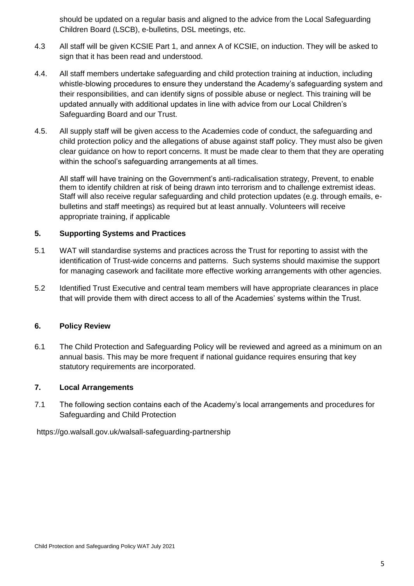should be updated on a regular basis and aligned to the advice from the Local Safeguarding Children Board (LSCB), e-bulletins, DSL meetings, etc.

- 4.3 All staff will be given KCSIE Part 1, and annex A of KCSIE, on induction. They will be asked to sign that it has been read and understood.
- 4.4. All staff members undertake safeguarding and child protection training at induction, including whistle-blowing procedures to ensure they understand the Academy's safeguarding system and their responsibilities, and can identify signs of possible abuse or neglect. This training will be updated annually with additional updates in line with advice from our Local Children's Safeguarding Board and our Trust.
- 4.5. All supply staff will be given access to the Academies code of conduct, the safeguarding and child protection policy and the allegations of abuse against staff policy. They must also be given clear guidance on how to report concerns. It must be made clear to them that they are operating within the school's safeguarding arrangements at all times.

All staff will have training on the Government's anti-radicalisation strategy, Prevent, to enable them to identify children at risk of being drawn into terrorism and to challenge extremist ideas. Staff will also receive regular safeguarding and child protection updates (e.g. through emails, ebulletins and staff meetings) as required but at least annually. Volunteers will receive appropriate training, if applicable

## **5. Supporting Systems and Practices**

- 5.1 WAT will standardise systems and practices across the Trust for reporting to assist with the identification of Trust-wide concerns and patterns. Such systems should maximise the support for managing casework and facilitate more effective working arrangements with other agencies.
- 5.2 Identified Trust Executive and central team members will have appropriate clearances in place that will provide them with direct access to all of the Academies' systems within the Trust.

## **6. Policy Review**

6.1 The Child Protection and Safeguarding Policy will be reviewed and agreed as a minimum on an annual basis. This may be more frequent if national guidance requires ensuring that key statutory requirements are incorporated.

## **7. Local Arrangements**

7.1 The following section contains each of the Academy's local arrangements and procedures for Safeguarding and Child Protection

https://go.walsall.gov.uk/walsall-safeguarding-partnership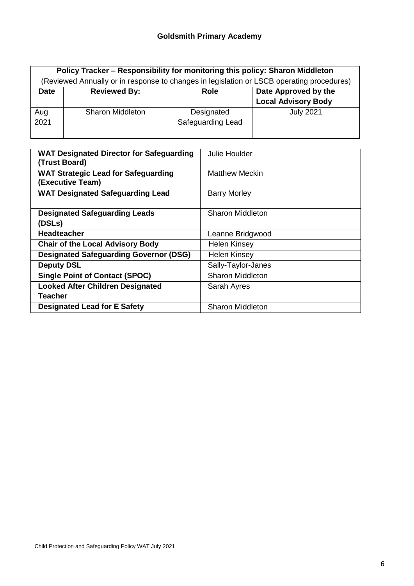|             | Policy Tracker - Responsibility for monitoring this policy: Sharon Middleton<br>(Reviewed Annually or in response to changes in legislation or LSCB operating procedures) |                                 |                                                    |
|-------------|---------------------------------------------------------------------------------------------------------------------------------------------------------------------------|---------------------------------|----------------------------------------------------|
| <b>Date</b> | <b>Reviewed By:</b>                                                                                                                                                       | <b>Role</b>                     | Date Approved by the<br><b>Local Advisory Body</b> |
| Aug<br>2021 | <b>Sharon Middleton</b>                                                                                                                                                   | Designated<br>Safeguarding Lead | <b>July 2021</b>                                   |

| <b>WAT Designated Director for Safeguarding</b><br>(Trust Board) | Julie Houlder           |
|------------------------------------------------------------------|-------------------------|
| <b>WAT Strategic Lead for Safeguarding</b><br>(Executive Team)   | <b>Matthew Meckin</b>   |
| <b>WAT Designated Safeguarding Lead</b>                          | <b>Barry Morley</b>     |
| <b>Designated Safeguarding Leads</b>                             | <b>Sharon Middleton</b> |
| (DSLs)                                                           |                         |
| <b>Headteacher</b>                                               | Leanne Bridgwood        |
| <b>Chair of the Local Advisory Body</b>                          | <b>Helen Kinsey</b>     |
| <b>Designated Safeguarding Governor (DSG)</b>                    | <b>Helen Kinsey</b>     |
| <b>Deputy DSL</b>                                                | Sally-Taylor-Janes      |
| <b>Single Point of Contact (SPOC)</b>                            | <b>Sharon Middleton</b> |
| <b>Looked After Children Designated</b>                          | Sarah Ayres             |
| <b>Teacher</b>                                                   |                         |
| <b>Designated Lead for E Safety</b>                              | <b>Sharon Middleton</b> |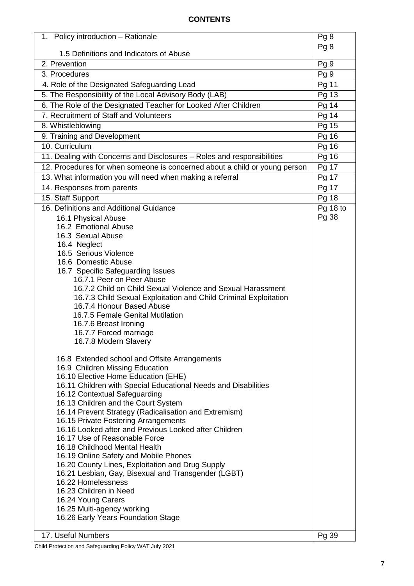## **CONTENTS**

|                                                                                                         | Pg <sub>8</sub> |
|---------------------------------------------------------------------------------------------------------|-----------------|
|                                                                                                         |                 |
| 1.5 Definitions and Indicators of Abuse                                                                 |                 |
| 2. Prevention                                                                                           | Pg 9            |
| 3. Procedures<br>4. Role of the Designated Safeguarding Lead                                            | Pg 9            |
| 5. The Responsibility of the Local Advisory Body (LAB)                                                  | Pg 11           |
| 6. The Role of the Designated Teacher for Looked After Children                                         | Pg 13<br>Pg 14  |
| 7. Recruitment of Staff and Volunteers                                                                  | Pg 14           |
| 8. Whistleblowing                                                                                       | Pg 15           |
| 9. Training and Development                                                                             | Pg 16           |
| 10. Curriculum                                                                                          | Pg 16           |
| 11. Dealing with Concerns and Disclosures - Roles and responsibilities                                  | Pg 16           |
| 12. Procedures for when someone is concerned about a child or young person                              | Pg 17           |
| 13. What information you will need when making a referral                                               | Pg 17           |
| 14. Responses from parents                                                                              | Pg 17           |
| 15. Staff Support                                                                                       | Pg 18           |
| 16. Definitions and Additional Guidance                                                                 | Pg 18 to        |
| 16.1 Physical Abuse                                                                                     | Pg 38           |
| 16.2 Emotional Abuse                                                                                    |                 |
| 16.3 Sexual Abuse                                                                                       |                 |
| 16.4 Neglect                                                                                            |                 |
| 16.5 Serious Violence                                                                                   |                 |
| 16.6 Domestic Abuse                                                                                     |                 |
| 16.7 Specific Safeguarding Issues<br>16.7.1 Peer on Peer Abuse                                          |                 |
| 16.7.2 Child on Child Sexual Violence and Sexual Harassment                                             |                 |
| 16.7.3 Child Sexual Exploitation and Child Criminal Exploitation                                        |                 |
| 16.7.4 Honour Based Abuse                                                                               |                 |
| 16.7.5 Female Genital Mutilation                                                                        |                 |
| 16.7.6 Breast Ironing                                                                                   |                 |
| 16.7.7 Forced marriage                                                                                  |                 |
| 16.7.8 Modern Slavery                                                                                   |                 |
| 16.8 Extended school and Offsite Arrangements                                                           |                 |
| 16.9 Children Missing Education                                                                         |                 |
| 16.10 Elective Home Education (EHE)                                                                     |                 |
| 16.11 Children with Special Educational Needs and Disabilities                                          |                 |
| 16.12 Contextual Safeguarding                                                                           |                 |
| 16.13 Children and the Court System<br>16.14 Prevent Strategy (Radicalisation and Extremism)            |                 |
| 16.15 Private Fostering Arrangements                                                                    |                 |
| 16.16 Looked after and Previous Looked after Children                                                   |                 |
| 16.17 Use of Reasonable Force                                                                           |                 |
| 16.18 Childhood Mental Health                                                                           |                 |
| 16.19 Online Safety and Mobile Phones                                                                   |                 |
| 16.20 County Lines, Exploitation and Drug Supply<br>16.21 Lesbian, Gay, Bisexual and Transgender (LGBT) |                 |
| 16.22 Homelessness                                                                                      |                 |
| 16.23 Children in Need                                                                                  |                 |
| 16.24 Young Carers                                                                                      |                 |
| 16.25 Multi-agency working                                                                              |                 |
| 16.26 Early Years Foundation Stage                                                                      |                 |
| 17. Useful Numbers                                                                                      | Pg 39           |

Child Protection and Safeguarding Policy WAT July 2021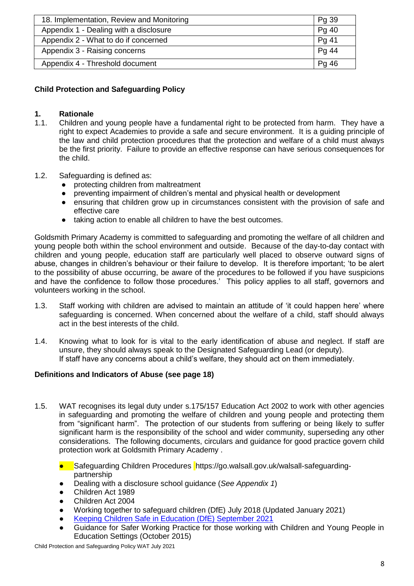| 18. Implementation, Review and Monitoring | Pg 39 |
|-------------------------------------------|-------|
| Appendix 1 - Dealing with a disclosure    | Pg 40 |
| Appendix 2 - What to do if concerned      | Pg 41 |
| Appendix 3 - Raising concerns             | Pg 44 |
| Appendix 4 - Threshold document           | Pg 46 |

## **Child Protection and Safeguarding Policy**

## **1. Rationale**

- 1.1. Children and young people have a fundamental right to be protected from harm. They have a right to expect Academies to provide a safe and secure environment. It is a guiding principle of the law and child protection procedures that the protection and welfare of a child must always be the first priority. Failure to provide an effective response can have serious consequences for the child.
- 1.2. Safeguarding is defined as:
	- protecting children from maltreatment
	- preventing impairment of children's mental and physical health or development
	- ensuring that children grow up in circumstances consistent with the provision of safe and effective care
	- taking action to enable all children to have the best outcomes.

Goldsmith Primary Academy is committed to safeguarding and promoting the welfare of all children and young people both within the school environment and outside. Because of the day-to-day contact with children and young people, education staff are particularly well placed to observe outward signs of abuse, changes in children's behaviour or their failure to develop. It is therefore important; 'to be alert to the possibility of abuse occurring, be aware of the procedures to be followed if you have suspicions and have the confidence to follow those procedures.' This policy applies to all staff, governors and volunteers working in the school.

- 1.3. Staff working with children are advised to maintain an attitude of 'it could happen here' where safeguarding is concerned. When concerned about the welfare of a child, staff should always act in the best interests of the child.
- 1.4. Knowing what to look for is vital to the early identification of abuse and neglect. If staff are unsure, they should always speak to the Designated Safeguarding Lead (or deputy). If staff have any concerns about a child's welfare, they should act on them immediately.

## **Definitions and Indicators of Abuse (see page 18)**

- 1.5. WAT recognises its legal duty under s.175/157 Education Act 2002 to work with other agencies in safeguarding and promoting the welfare of children and young people and protecting them from "significant harm". The protection of our students from suffering or being likely to suffer significant harm is the responsibility of the school and wider community, superseding any other considerations. The following documents, circulars and guidance for good practice govern child protection work at Goldsmith Primary Academy .
	- Safeguarding Children Procedures https://go.walsall.gov.uk/walsall-safeguardingpartnership
	- Dealing with a disclosure school guidance (*See Appendix 1*)
	- Children Act 1989
	- Children Act 2004
	- Working together to safeguard children (DfE) July 2018 (Updated January 2021)
	- [Keeping Children Safe in Education \(DfE\) September 2021](https://assets.publishing.service.gov.uk/government/uploads/system/uploads/attachment_data/file/999348/Keeping_children_safe_in_education_2021.pdf)
	- Guidance for Safer Working Practice for those working with Children and Young People in Education Settings (October 2015)

Child Protection and Safeguarding Policy WAT July 2021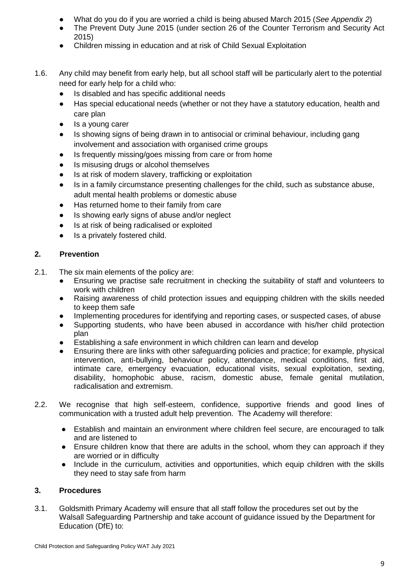- What do you do if you are worried a child is being abused March 2015 (*See Appendix 2*)
- The Prevent Duty June 2015 (under section 26 of the Counter Terrorism and Security Act 2015)
- Children missing in education and at risk of Child Sexual Exploitation
- 1.6. Any child may benefit from early help, but all school staff will be particularly alert to the potential need for early help for a child who:
	- Is disabled and has specific additional needs
	- Has special educational needs (whether or not they have a statutory education, health and care plan
	- Is a young carer
	- Is showing signs of being drawn in to antisocial or criminal behaviour, including gang involvement and association with organised crime groups
	- Is frequently missing/goes missing from care or from home
	- Is misusing drugs or alcohol themselves
	- Is at risk of modern slavery, trafficking or exploitation
	- Is in a family circumstance presenting challenges for the child, such as substance abuse, adult mental health problems or domestic abuse
	- Has returned home to their family from care
	- Is showing early signs of abuse and/or neglect
	- Is at risk of being radicalised or exploited
	- Is a privately fostered child.

## **2. Prevention**

- 2.1. The six main elements of the policy are:
	- Ensuring we practise safe recruitment in checking the suitability of staff and volunteers to work with children
	- Raising awareness of child protection issues and equipping children with the skills needed to keep them safe
	- Implementing procedures for identifying and reporting cases, or suspected cases, of abuse
	- Supporting students, who have been abused in accordance with his/her child protection plan
	- Establishing a safe environment in which children can learn and develop
	- Ensuring there are links with other safeguarding policies and practice; for example, physical intervention, anti-bullying, behaviour policy, attendance, medical conditions, first aid, intimate care, emergency evacuation, educational visits, sexual exploitation, sexting, disability, homophobic abuse, racism, domestic abuse, female genital mutilation, radicalisation and extremism.
- 2.2. We recognise that high self-esteem, confidence, supportive friends and good lines of communication with a trusted adult help prevention. The Academy will therefore:
	- Establish and maintain an environment where children feel secure, are encouraged to talk and are listened to
	- Ensure children know that there are adults in the school, whom they can approach if they are worried or in difficulty
	- Include in the curriculum, activities and opportunities, which equip children with the skills they need to stay safe from harm

## **3. Procedures**

3.1. Goldsmith Primary Academy will ensure that all staff follow the procedures set out by the Walsall Safeguarding Partnership and take account of guidance issued by the Department for Education (DfE) to: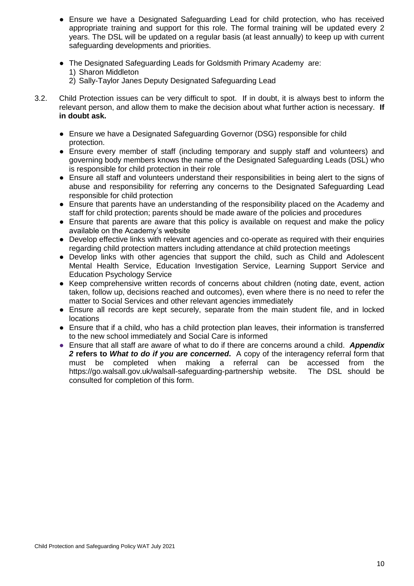- Ensure we have a Designated Safeguarding Lead for child protection, who has received appropriate training and support for this role. The formal training will be updated every 2 years. The DSL will be updated on a regular basis (at least annually) to keep up with current safeguarding developments and priorities.
- The Designated Safeguarding Leads for Goldsmith Primary Academy are:
	- 1) Sharon Middleton
	- 2) Sally-Taylor Janes Deputy Designated Safeguarding Lead
- 3.2. Child Protection issues can be very difficult to spot. If in doubt, it is always best to inform the relevant person, and allow them to make the decision about what further action is necessary. **If in doubt ask.**
	- Ensure we have a Designated Safeguarding Governor (DSG) responsible for child protection.
	- Ensure every member of staff (including temporary and supply staff and volunteers) and governing body members knows the name of the Designated Safeguarding Leads (DSL) who is responsible for child protection in their role
	- Ensure all staff and volunteers understand their responsibilities in being alert to the signs of abuse and responsibility for referring any concerns to the Designated Safeguarding Lead responsible for child protection
	- Ensure that parents have an understanding of the responsibility placed on the Academy and staff for child protection; parents should be made aware of the policies and procedures
	- Ensure that parents are aware that this policy is available on request and make the policy available on the Academy's website
	- Develop effective links with relevant agencies and co-operate as required with their enquiries regarding child protection matters including attendance at child protection meetings
	- Develop links with other agencies that support the child, such as Child and Adolescent Mental Health Service, Education Investigation Service, Learning Support Service and Education Psychology Service
	- Keep comprehensive written records of concerns about children (noting date, event, action taken, follow up, decisions reached and outcomes), even where there is no need to refer the matter to Social Services and other relevant agencies immediately
	- Ensure all records are kept securely, separate from the main student file, and in locked locations
	- Ensure that if a child, who has a child protection plan leaves, their information is transferred to the new school immediately and Social Care is informed
	- Ensure that all staff are aware of what to do if there are concerns around a child. *Appendix 2* **refers to** *What to do if you are concerned***.** A copy of the interagency referral form that must be completed when making a referral can be accessed from the https://go.walsall.gov.uk/walsall-safeguarding-partnership website. The DSL should be consulted for completion of this form.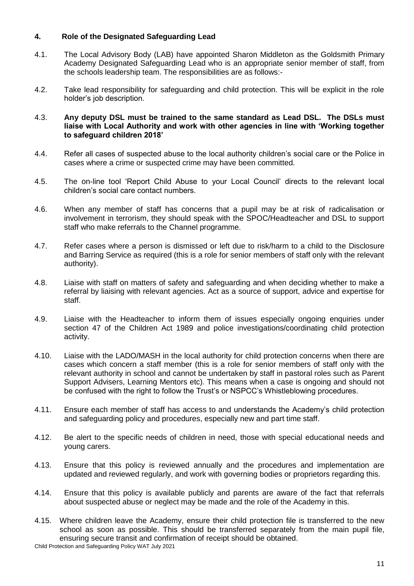## **4. Role of the Designated Safeguarding Lead**

- 4.1. The Local Advisory Body (LAB) have appointed Sharon Middleton as the Goldsmith Primary Academy Designated Safeguarding Lead who is an appropriate senior member of staff, from the schools leadership team. The responsibilities are as follows:-
- 4.2. Take lead responsibility for safeguarding and child protection. This will be explicit in the role holder's job description.

#### 4.3. **Any deputy DSL must be trained to the same standard as Lead DSL. The DSLs must liaise with Local Authority and work with other agencies in line with 'Working together to safeguard children 2018'**

- 4.4. Refer all cases of suspected abuse to the local authority children's social care or the Police in cases where a crime or suspected crime may have been committed.
- 4.5. The on-line tool 'Report Child Abuse to your Local Council' directs to the relevant local children's social care contact numbers.
- 4.6. When any member of staff has concerns that a pupil may be at risk of radicalisation or involvement in terrorism, they should speak with the SPOC/Headteacher and DSL to support staff who make referrals to the Channel programme.
- 4.7. Refer cases where a person is dismissed or left due to risk/harm to a child to the Disclosure and Barring Service as required (this is a role for senior members of staff only with the relevant authority).
- 4.8. Liaise with staff on matters of safety and safeguarding and when deciding whether to make a referral by liaising with relevant agencies. Act as a source of support, advice and expertise for staff.
- 4.9. Liaise with the Headteacher to inform them of issues especially ongoing enquiries under section 47 of the Children Act 1989 and police investigations/coordinating child protection activity.
- 4.10. Liaise with the LADO/MASH in the local authority for child protection concerns when there are cases which concern a staff member (this is a role for senior members of staff only with the relevant authority in school and cannot be undertaken by staff in pastoral roles such as Parent Support Advisers, Learning Mentors etc). This means when a case is ongoing and should not be confused with the right to follow the Trust's or NSPCC's Whistleblowing procedures.
- 4.11. Ensure each member of staff has access to and understands the Academy's child protection and safeguarding policy and procedures, especially new and part time staff.
- 4.12. Be alert to the specific needs of children in need, those with special educational needs and young carers.
- 4.13. Ensure that this policy is reviewed annually and the procedures and implementation are updated and reviewed regularly, and work with governing bodies or proprietors regarding this.
- 4.14. Ensure that this policy is available publicly and parents are aware of the fact that referrals about suspected abuse or neglect may be made and the role of the Academy in this.
- 4.15. Where children leave the Academy, ensure their child protection file is transferred to the new school as soon as possible. This should be transferred separately from the main pupil file, ensuring secure transit and confirmation of receipt should be obtained.

Child Protection and Safeguarding Policy WAT July 2021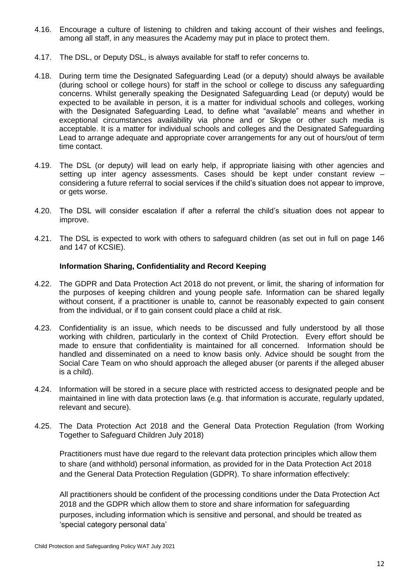- 4.16. Encourage a culture of listening to children and taking account of their wishes and feelings, among all staff, in any measures the Academy may put in place to protect them.
- 4.17. The DSL, or Deputy DSL, is always available for staff to refer concerns to.
- 4.18. During term time the Designated Safeguarding Lead (or a deputy) should always be available (during school or college hours) for staff in the school or college to discuss any safeguarding concerns. Whilst generally speaking the Designated Safeguarding Lead (or deputy) would be expected to be available in person, it is a matter for individual schools and colleges, working with the Designated Safeguarding Lead, to define what "available" means and whether in exceptional circumstances availability via phone and or Skype or other such media is acceptable. It is a matter for individual schools and colleges and the Designated Safeguarding Lead to arrange adequate and appropriate cover arrangements for any out of hours/out of term time contact.
- 4.19. The DSL (or deputy) will lead on early help, if appropriate liaising with other agencies and setting up inter agency assessments. Cases should be kept under constant review – considering a future referral to social services if the child's situation does not appear to improve, or gets worse.
- 4.20. The DSL will consider escalation if after a referral the child's situation does not appear to improve.
- 4.21. The DSL is expected to work with others to safeguard children (as set out in full on page 146 and 147 of KCSIE).

## **Information Sharing, Confidentiality and Record Keeping**

- 4.22. The GDPR and Data Protection Act 2018 do not prevent, or limit, the sharing of information for the purposes of keeping children and young people safe. Information can be shared legally without consent, if a practitioner is unable to, cannot be reasonably expected to gain consent from the individual, or if to gain consent could place a child at risk.
- 4.23. Confidentiality is an issue, which needs to be discussed and fully understood by all those working with children, particularly in the context of Child Protection. Every effort should be made to ensure that confidentiality is maintained for all concerned. Information should be handled and disseminated on a need to know basis only. Advice should be sought from the Social Care Team on who should approach the alleged abuser (or parents if the alleged abuser is a child).
- 4.24. Information will be stored in a secure place with restricted access to designated people and be maintained in line with data protection laws (e.g. that information is accurate, regularly updated, relevant and secure).
- 4.25. The Data Protection Act 2018 and the General Data Protection Regulation (from Working Together to Safeguard Children July 2018)

Practitioners must have due regard to the relevant data protection principles which allow them to share (and withhold) personal information, as provided for in the Data Protection Act 2018 and the General Data Protection Regulation (GDPR). To share information effectively:

All practitioners should be confident of the processing conditions under the Data Protection Act 2018 and the GDPR which allow them to store and share information for safeguarding purposes, including information which is sensitive and personal, and should be treated as 'special category personal data'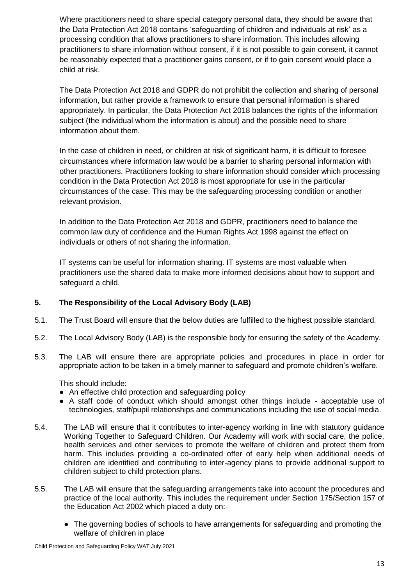Where practitioners need to share special category personal data, they should be aware that the Data Protection Act 2018 contains 'safeguarding of children and individuals at risk' as a processing condition that allows practitioners to share information. This includes allowing practitioners to share information without consent, if it is not possible to gain consent, it cannot be reasonably expected that a practitioner gains consent, or if to gain consent would place a child at risk.

The Data Protection Act 2018 and GDPR do not prohibit the collection and sharing of personal information, but rather provide a framework to ensure that personal information is shared appropriately. In particular, the Data Protection Act 2018 balances the rights of the information subject (the individual whom the information is about) and the possible need to share information about them.

In the case of children in need, or children at risk of significant harm, it is difficult to foresee circumstances where information law would be a barrier to sharing personal information with other practitioners. Practitioners looking to share information should consider which processing condition in the Data Protection Act 2018 is most appropriate for use in the particular circumstances of the case. This may be the safeguarding processing condition or another relevant provision.

In addition to the Data Protection Act 2018 and GDPR, practitioners need to balance the common law duty of confidence and the Human Rights Act 1998 against the effect on individuals or others of not sharing the information.

IT systems can be useful for information sharing. IT systems are most valuable when practitioners use the shared data to make more informed decisions about how to support and safeguard a child.

## **5. The Responsibility of the Local Advisory Body (LAB)**

- 5.1. The Trust Board will ensure that the below duties are fulfilled to the highest possible standard.
- 5.2. The Local Advisory Body (LAB) is the responsible body for ensuring the safety of the Academy.
- 5.3. The LAB will ensure there are appropriate policies and procedures in place in order for appropriate action to be taken in a timely manner to safeguard and promote children's welfare.

This should include:

- An effective child protection and safeguarding policy
- A staff code of conduct which should amongst other things include acceptable use of technologies, staff/pupil relationships and communications including the use of social media.
- 5.4. The LAB will ensure that it contributes to inter-agency working in line with statutory guidance Working Together to Safeguard Children. Our Academy will work with social care, the police, health services and other services to promote the welfare of children and protect them from harm. This includes providing a co-ordinated offer of early help when additional needs of children are identified and contributing to inter-agency plans to provide additional support to children subject to child protection plans.
- 5.5. The LAB will ensure that the safeguarding arrangements take into account the procedures and practice of the local authority. This includes the requirement under Section 175/Section 157 of the Education Act 2002 which placed a duty on:-
	- The governing bodies of schools to have arrangements for safeguarding and promoting the welfare of children in place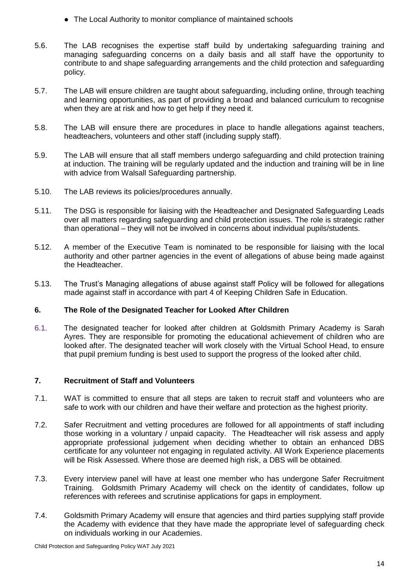- The Local Authority to monitor compliance of maintained schools
- 5.6. The LAB recognises the expertise staff build by undertaking safeguarding training and managing safeguarding concerns on a daily basis and all staff have the opportunity to contribute to and shape safeguarding arrangements and the child protection and safeguarding policy.
- 5.7. The LAB will ensure children are taught about safeguarding, including online, through teaching and learning opportunities, as part of providing a broad and balanced curriculum to recognise when they are at risk and how to get help if they need it.
- 5.8. The LAB will ensure there are procedures in place to handle allegations against teachers, headteachers, volunteers and other staff (including supply staff).
- 5.9. The LAB will ensure that all staff members undergo safeguarding and child protection training at induction. The training will be regularly updated and the induction and training will be in line with advice from Walsall Safeguarding partnership.
- 5.10. The LAB reviews its policies/procedures annually.
- 5.11. The DSG is responsible for liaising with the Headteacher and Designated Safeguarding Leads over all matters regarding safeguarding and child protection issues. The role is strategic rather than operational – they will not be involved in concerns about individual pupils/students.
- 5.12. A member of the Executive Team is nominated to be responsible for liaising with the local authority and other partner agencies in the event of allegations of abuse being made against the Headteacher.
- 5.13. The Trust's Managing allegations of abuse against staff Policy will be followed for allegations made against staff in accordance with part 4 of Keeping Children Safe in Education.

## **6. The Role of the Designated Teacher for Looked After Children**

6.1. The designated teacher for looked after children at Goldsmith Primary Academy is Sarah Ayres. They are responsible for promoting the educational achievement of children who are looked after. The designated teacher will work closely with the Virtual School Head, to ensure that pupil premium funding is best used to support the progress of the looked after child.

## **7. Recruitment of Staff and Volunteers**

- 7.1. WAT is committed to ensure that all steps are taken to recruit staff and volunteers who are safe to work with our children and have their welfare and protection as the highest priority.
- 7.2. Safer Recruitment and vetting procedures are followed for all appointments of staff including those working in a voluntary / unpaid capacity. The Headteacher will risk assess and apply appropriate professional judgement when deciding whether to obtain an enhanced DBS certificate for any volunteer not engaging in regulated activity. All Work Experience placements will be Risk Assessed. Where those are deemed high risk, a DBS will be obtained.
- 7.3. Every interview panel will have at least one member who has undergone Safer Recruitment Training. Goldsmith Primary Academy will check on the identity of candidates, follow up references with referees and scrutinise applications for gaps in employment.
- 7.4. Goldsmith Primary Academy will ensure that agencies and third parties supplying staff provide the Academy with evidence that they have made the appropriate level of safeguarding check on individuals working in our Academies.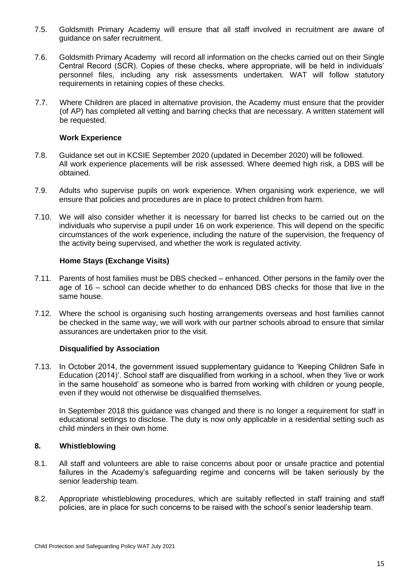- 7.5. Goldsmith Primary Academy will ensure that all staff involved in recruitment are aware of guidance on safer recruitment.
- 7.6. Goldsmith Primary Academy will record all information on the checks carried out on their Single Central Record (SCR). Copies of these checks, where appropriate, will be held in individuals' personnel files, including any risk assessments undertaken. WAT will follow statutory requirements in retaining copies of these checks.
- 7.7. Where Children are placed in alternative provision, the Academy must ensure that the provider (of AP) has completed all vetting and barring checks that are necessary. A written statement will be requested.

#### **Work Experience**

- 7.8. Guidance set out in KCSIE September 2020 (updated in December 2020) will be followed. All work experience placements will be risk assessed. Where deemed high risk, a DBS will be obtained.
- 7.9. Adults who supervise pupils on work experience. When organising work experience, we will ensure that policies and procedures are in place to protect children from harm.
- 7.10. We will also consider whether it is necessary for barred list checks to be carried out on the individuals who supervise a pupil under 16 on work experience. This will depend on the specific circumstances of the work experience, including the nature of the supervision, the frequency of the activity being supervised, and whether the work is regulated activity.

#### **Home Stays (Exchange Visits)**

- 7.11. Parents of host families must be DBS checked enhanced. Other persons in the family over the age of 16 – school can decide whether to do enhanced DBS checks for those that live in the same house.
- 7.12. Where the school is organising such hosting arrangements overseas and host families cannot be checked in the same way, we will work with our partner schools abroad to ensure that similar assurances are undertaken prior to the visit.

#### **Disqualified by Association**

7.13. In October 2014, the government issued supplementary guidance to 'Keeping Children Safe in Education (2014)'. School staff are disqualified from working in a school, when they 'live or work in the same household' as someone who is barred from working with children or young people, even if they would not otherwise be disqualified themselves.

In September 2018 this guidance was changed and there is no longer a requirement for staff in educational settings to disclose. The duty is now only applicable in a residential setting such as child minders in their own home.

## **8. Whistleblowing**

- 8.1. All staff and volunteers are able to raise concerns about poor or unsafe practice and potential failures in the Academy's safeguarding regime and concerns will be taken seriously by the senior leadership team.
- 8.2. Appropriate whistleblowing procedures, which are suitably reflected in staff training and staff policies, are in place for such concerns to be raised with the school's senior leadership team.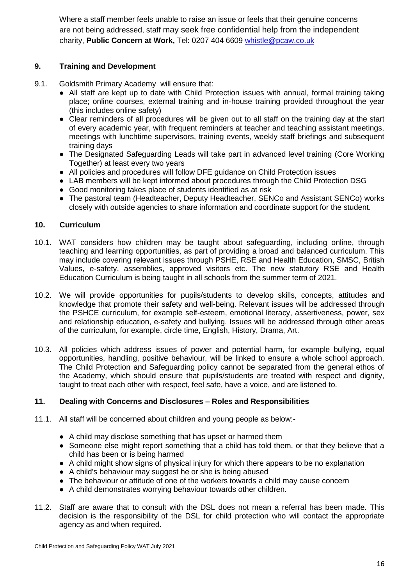Where a staff member feels unable to raise an issue or feels that their genuine concerns are not being addressed, staff may seek free confidential help from the independent charity, **Public Concern at Work,** Tel: 0207 404 6609 [whistle@pcaw.co.uk](mailto:whistle@pcaw.co.uk)

## **9. Training and Development**

- 9.1. Goldsmith Primary Academy will ensure that:
	- All staff are kept up to date with Child Protection issues with annual, formal training taking place; online courses, external training and in-house training provided throughout the year (this includes online safety)
	- Clear reminders of all procedures will be given out to all staff on the training day at the start of every academic year, with frequent reminders at teacher and teaching assistant meetings, meetings with lunchtime supervisors, training events, weekly staff briefings and subsequent training days
	- The Designated Safeguarding Leads will take part in advanced level training (Core Working Together) at least every two years
	- All policies and procedures will follow DFE guidance on Child Protection issues
	- LAB members will be kept informed about procedures through the Child Protection DSG
	- Good monitoring takes place of students identified as at risk
	- The pastoral team (Headteacher, Deputy Headteacher, SENCo and Assistant SENCo) works closely with outside agencies to share information and coordinate support for the student.

## **10. Curriculum**

- 10.1. WAT considers how children may be taught about safeguarding, including online, through teaching and learning opportunities, as part of providing a broad and balanced curriculum. This may include covering relevant issues through PSHE, RSE and Health Education, SMSC, British Values, e-safety, assemblies, approved visitors etc. The new statutory RSE and Health Education Curriculum is being taught in all schools from the summer term of 2021.
- 10.2. We will provide opportunities for pupils/students to develop skills, concepts, attitudes and knowledge that promote their safety and well-being. Relevant issues will be addressed through the PSHCE curriculum, for example self-esteem, emotional literacy, assertiveness, power, sex and relationship education, e-safety and bullying. Issues will be addressed through other areas of the curriculum, for example, circle time, English, History, Drama, Art.
- 10.3. All policies which address issues of power and potential harm, for example bullying, equal opportunities, handling, positive behaviour, will be linked to ensure a whole school approach. The Child Protection and Safeguarding policy cannot be separated from the general ethos of the Academy, which should ensure that pupils/students are treated with respect and dignity, taught to treat each other with respect, feel safe, have a voice, and are listened to.

## **11. Dealing with Concerns and Disclosures – Roles and Responsibilities**

- 11.1. All staff will be concerned about children and young people as below:-
	- A child may disclose something that has upset or harmed them
	- Someone else might report something that a child has told them, or that they believe that a child has been or is being harmed
	- A child might show signs of physical injury for which there appears to be no explanation
	- A child's behaviour may suggest he or she is being abused
	- The behaviour or attitude of one of the workers towards a child may cause concern
	- A child demonstrates worrying behaviour towards other children.
- 11.2. Staff are aware that to consult with the DSL does not mean a referral has been made. This decision is the responsibility of the DSL for child protection who will contact the appropriate agency as and when required.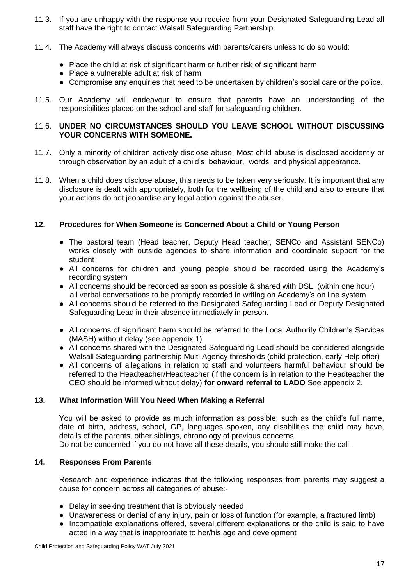- 11.3. If you are unhappy with the response you receive from your Designated Safeguarding Lead all staff have the right to contact Walsall Safeguarding Partnership.
- 11.4. The Academy will always discuss concerns with parents/carers unless to do so would:
	- Place the child at risk of significant harm or further risk of significant harm
	- Place a vulnerable adult at risk of harm
	- Compromise any enquiries that need to be undertaken by children's social care or the police.
- 11.5. Our Academy will endeavour to ensure that parents have an understanding of the responsibilities placed on the school and staff for safeguarding children.

## 11.6. **UNDER NO CIRCUMSTANCES SHOULD YOU LEAVE SCHOOL WITHOUT DISCUSSING YOUR CONCERNS WITH SOMEONE.**

- 11.7. Only a minority of children actively disclose abuse. Most child abuse is disclosed accidently or through observation by an adult of a child's behaviour, words and physical appearance.
- 11.8. When a child does disclose abuse, this needs to be taken very seriously. It is important that any disclosure is dealt with appropriately, both for the wellbeing of the child and also to ensure that your actions do not jeopardise any legal action against the abuser.

## **12. Procedures for When Someone is Concerned About a Child or Young Person**

- The pastoral team (Head teacher, Deputy Head teacher, SENCo and Assistant SENCo) works closely with outside agencies to share information and coordinate support for the student
- All concerns for children and young people should be recorded using the Academy's recording system
- All concerns should be recorded as soon as possible & shared with DSL, (within one hour) all verbal conversations to be promptly recorded in writing on Academy's on line system
- All concerns should be referred to the Designated Safeguarding Lead or Deputy Designated Safeguarding Lead in their absence immediately in person.
- All concerns of significant harm should be referred to the Local Authority Children's Services (MASH) without delay (see appendix 1)
- All concerns shared with the Designated Safeguarding Lead should be considered alongside Walsall Safeguarding partnership Multi Agency thresholds (child protection, early Help offer)
- All concerns of allegations in relation to staff and volunteers harmful behaviour should be referred to the Headteacher/Headteacher (if the concern is in relation to the Headteacher the CEO should be informed without delay) **for onward referral to LADO** See appendix 2.

## **13. What Information Will You Need When Making a Referral**

You will be asked to provide as much information as possible; such as the child's full name, date of birth, address, school, GP, languages spoken, any disabilities the child may have, details of the parents, other siblings, chronology of previous concerns. Do not be concerned if you do not have all these details, you should still make the call.

## **14. Responses From Parents**

Research and experience indicates that the following responses from parents may suggest a cause for concern across all categories of abuse:-

- Delay in seeking treatment that is obviously needed
- Unawareness or denial of any injury, pain or loss of function (for example, a fractured limb)
- Incompatible explanations offered, several different explanations or the child is said to have acted in a way that is inappropriate to her/his age and development

Child Protection and Safeguarding Policy WAT July 2021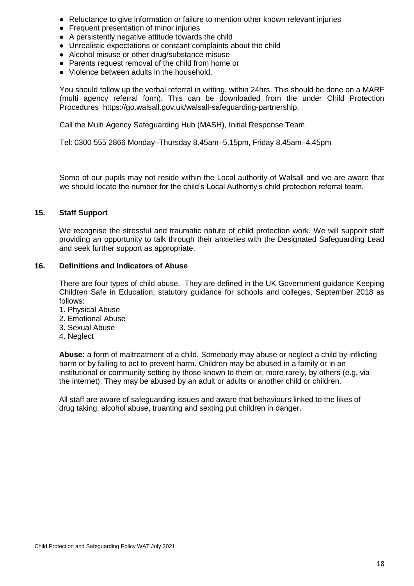- Reluctance to give information or failure to mention other known relevant injuries
- Frequent presentation of minor injuries
- A persistently negative attitude towards the child
- Unrealistic expectations or constant complaints about the child
- Alcohol misuse or other drug/substance misuse
- Parents request removal of the child from home or
- Violence between adults in the household.

You should follow up the verbal referral in writing, within 24hrs. This should be done on a MARF (multi agency referral form). This can be downloaded from the under Child Protection Procedures https://go.walsall.gov.uk/walsall-safeguarding-partnership.

Call the Multi Agency Safeguarding Hub (MASH), Initial Response Team

Tel: 0300 555 2866 Monday–Thursday 8.45am–5.15pm, Friday 8.45am–4.45pm

Some of our pupils may not reside within the Local authority of Walsall and we are aware that we should locate the number for the child's Local Authority's child protection referral team.

#### **15. Staff Support**

We recognise the stressful and traumatic nature of child protection work. We will support staff providing an opportunity to talk through their anxieties with the Designated Safeguarding Lead and seek further support as appropriate.

#### **16. Definitions and Indicators of Abuse**

There are four types of child abuse. They are defined in the UK Government guidance Keeping Children Safe in Education; statutory guidance for schools and colleges, September 2018 as follows:

- 1. Physical Abuse
- 2. Emotional Abuse
- 3. Sexual Abuse
- 4. Neglect

**Abuse:** a form of maltreatment of a child. Somebody may abuse or neglect a child by inflicting harm or by failing to act to prevent harm. Children may be abused in a family or in an institutional or community setting by those known to them or, more rarely, by others (e.g. via the internet). They may be abused by an adult or adults or another child or children.

All staff are aware of safeguarding issues and aware that behaviours linked to the likes of drug taking, alcohol abuse, truanting and sexting put children in danger.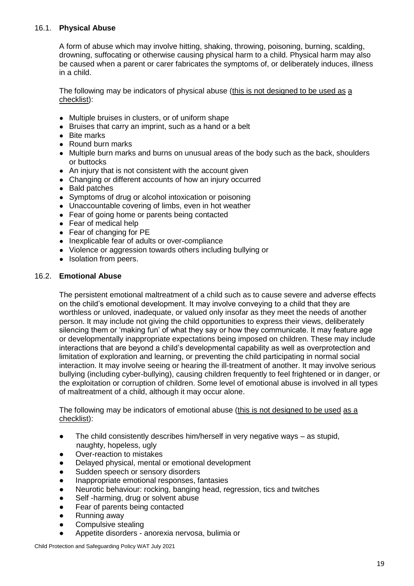## 16.1. **Physical Abuse**

A form of abuse which may involve hitting, shaking, throwing, poisoning, burning, scalding, drowning, suffocating or otherwise causing physical harm to a child. Physical harm may also be caused when a parent or carer fabricates the symptoms of, or deliberately induces, illness in a child.

The following may be indicators of physical abuse (this is not designed to be used as a checklist):

- Multiple bruises in clusters, or of uniform shape
- Bruises that carry an imprint, such as a hand or a belt
- Bite marks
- Round burn marks
- Multiple burn marks and burns on unusual areas of the body such as the back, shoulders or buttocks
- An injury that is not consistent with the account given
- Changing or different accounts of how an injury occurred
- Bald patches
- Symptoms of drug or alcohol intoxication or poisoning
- Unaccountable covering of limbs, even in hot weather
- Fear of going home or parents being contacted
- Fear of medical help
- Fear of changing for PE
- Inexplicable fear of adults or over-compliance
- Violence or aggression towards others including bullying or
- Isolation from peers.

#### 16.2. **Emotional Abuse**

The persistent emotional maltreatment of a child such as to cause severe and adverse effects on the child's emotional development. It may involve conveying to a child that they are worthless or unloved, inadequate, or valued only insofar as they meet the needs of another person. It may include not giving the child opportunities to express their views, deliberately silencing them or 'making fun' of what they say or how they communicate. It may feature age or developmentally inappropriate expectations being imposed on children. These may include interactions that are beyond a child's developmental capability as well as overprotection and limitation of exploration and learning, or preventing the child participating in normal social interaction. It may involve seeing or hearing the ill-treatment of another. It may involve serious bullying (including cyber-bullying), causing children frequently to feel frightened or in danger, or the exploitation or corruption of children. Some level of emotional abuse is involved in all types of maltreatment of a child, although it may occur alone.

The following may be indicators of emotional abuse (this is not designed to be used as a checklist):

- The child consistently describes him/herself in very negative ways as stupid, naughty, hopeless, ugly
- Over-reaction to mistakes
- Delayed physical, mental or emotional development
- Sudden speech or sensory disorders
- Inappropriate emotional responses, fantasies
- Neurotic behaviour: rocking, banging head, regression, tics and twitches
- Self -harming, drug or solvent abuse
- Fear of parents being contacted
- Running away
- Compulsive stealing
- Appetite disorders anorexia nervosa, bulimia or

Child Protection and Safeguarding Policy WAT July 2021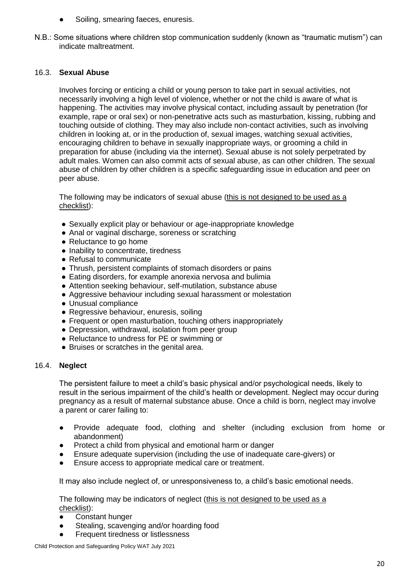- Soiling, smearing faeces, enuresis.
- N.B.: Some situations where children stop communication suddenly (known as "traumatic mutism") can indicate maltreatment.

## 16.3. **Sexual Abuse**

Involves forcing or enticing a child or young person to take part in sexual activities, not necessarily involving a high level of violence, whether or not the child is aware of what is happening. The activities may involve physical contact, including assault by penetration (for example, rape or oral sex) or non-penetrative acts such as masturbation, kissing, rubbing and touching outside of clothing. They may also include non-contact activities, such as involving children in looking at, or in the production of, sexual images, watching sexual activities, encouraging children to behave in sexually inappropriate ways, or grooming a child in preparation for abuse (including via the internet). Sexual abuse is not solely perpetrated by adult males. Women can also commit acts of sexual abuse, as can other children. The sexual abuse of children by other children is a specific safeguarding issue in education and peer on peer abuse.

The following may be indicators of sexual abuse (this is not designed to be used as a checklist):

- Sexually explicit play or behaviour or age-inappropriate knowledge
- Anal or vaginal discharge, soreness or scratching
- Reluctance to go home
- Inability to concentrate, tiredness
- Refusal to communicate
- Thrush, persistent complaints of stomach disorders or pains
- Eating disorders, for example anorexia nervosa and bulimia
- Attention seeking behaviour, self-mutilation, substance abuse
- Aggressive behaviour including sexual harassment or molestation
- Unusual compliance
- Regressive behaviour, enuresis, soiling
- Frequent or open masturbation, touching others inappropriately
- Depression, withdrawal, isolation from peer group
- Reluctance to undress for PE or swimming or
- Bruises or scratches in the genital area.

## 16.4. **Neglect**

The persistent failure to meet a child's basic physical and/or psychological needs, likely to result in the serious impairment of the child's health or development. Neglect may occur during pregnancy as a result of maternal substance abuse. Once a child is born, neglect may involve a parent or carer failing to:

- Provide adequate food, clothing and shelter (including exclusion from home or abandonment)
- Protect a child from physical and emotional harm or danger
- Ensure adequate supervision (including the use of inadequate care-givers) or
- Ensure access to appropriate medical care or treatment.

It may also include neglect of, or unresponsiveness to, a child's basic emotional needs.

The following may be indicators of neglect (this is not designed to be used as a checklist):

- Constant hunger
- Stealing, scavenging and/or hoarding food
- Frequent tiredness or listlessness

Child Protection and Safeguarding Policy WAT July 2021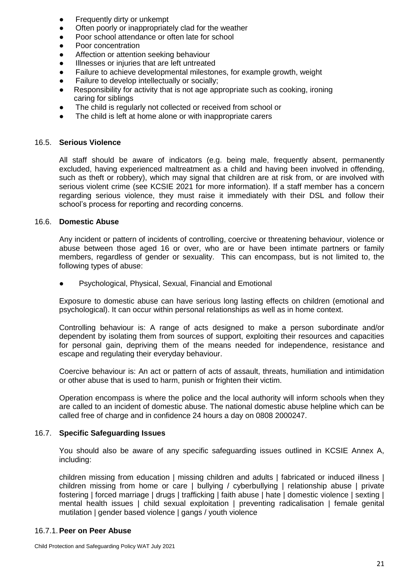- Frequently dirty or unkempt
- Often poorly or inappropriately clad for the weather
- Poor school attendance or often late for school
- Poor concentration
- Affection or attention seeking behaviour
- Illnesses or injuries that are left untreated
- Failure to achieve developmental milestones, for example growth, weight
- Failure to develop intellectually or socially;
- Responsibility for activity that is not age appropriate such as cooking, ironing caring for siblings
- The child is regularly not collected or received from school or
- The child is left at home alone or with inappropriate carers

#### 16.5. **Serious Violence**

All staff should be aware of indicators (e.g. being male, frequently absent, permanently excluded, having experienced maltreatment as a child and having been involved in offending, such as theft or robbery), which may signal that children are at risk from, or are involved with serious violent crime (see KCSIE 2021 for more information). If a staff member has a concern regarding serious violence, they must raise it immediately with their DSL and follow their school's process for reporting and recording concerns.

#### 16.6. **Domestic Abuse**

Any incident or pattern of incidents of controlling, coercive or threatening behaviour, violence or abuse between those aged 16 or over, who are or have been intimate partners or family members, regardless of gender or sexuality. This can encompass, but is not limited to, the following types of abuse:

Psychological, Physical, Sexual, Financial and Emotional

Exposure to domestic abuse can have serious long lasting effects on children (emotional and psychological). It can occur within personal relationships as well as in home context.

Controlling behaviour is: A range of acts designed to make a person subordinate and/or dependent by isolating them from sources of support, exploiting their resources and capacities for personal gain, depriving them of the means needed for independence, resistance and escape and regulating their everyday behaviour.

Coercive behaviour is: An act or pattern of acts of assault, threats, humiliation and intimidation or other abuse that is used to harm, punish or frighten their victim.

Operation encompass is where the police and the local authority will inform schools when they are called to an incident of domestic abuse. The national domestic abuse helpline which can be called free of charge and in confidence 24 hours a day on 0808 2000247.

#### 16.7. **Specific Safeguarding Issues**

You should also be aware of any specific safeguarding issues outlined in KCSIE Annex A, including:

children missing from education | missing children and adults | fabricated or induced illness | children missing from home or care | bullying / cyberbullying | relationship abuse | private fostering | forced marriage | drugs | trafficking | faith abuse | hate | domestic violence | sexting | mental health issues | child sexual exploitation | preventing radicalisation | female genital mutilation | gender based violence | gangs / youth violence

#### 16.7.1.**Peer on Peer Abuse**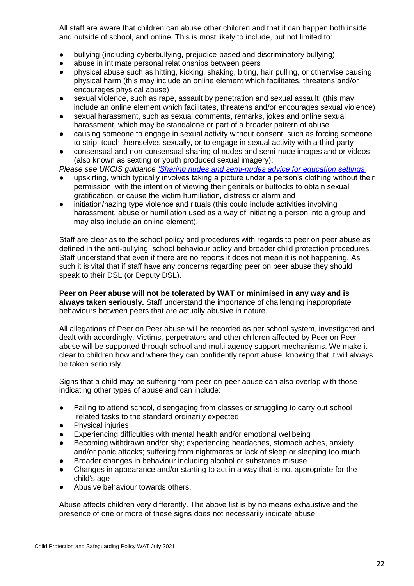All staff are aware that children can abuse other children and that it can happen both inside and outside of school, and online. This is most likely to include, but not limited to:

- bullying (including cyberbullying, prejudice-based and discriminatory bullying)
- abuse in intimate personal relationships between peers
- physical abuse such as hitting, kicking, shaking, biting, hair pulling, or otherwise causing physical harm (this may include an online element which facilitates, threatens and/or encourages physical abuse)
- sexual violence, such as rape, assault by penetration and sexual assault; (this may include an online element which facilitates, threatens and/or encourages sexual violence)
- sexual harassment, such as sexual comments, remarks, jokes and online sexual harassment, which may be standalone or part of a broader pattern of abuse
- causing someone to engage in sexual activity without consent, such as forcing someone to strip, touch themselves sexually, or to engage in sexual activity with a third party
- consensual and non-consensual sharing of nudes and semi-nude images and or videos (also known as sexting or youth produced sexual imagery);

*Please see UKCIS guidance ['Sharing nudes and semi-nudes advice for education settings'](https://assets.publishing.service.gov.uk/government/uploads/system/uploads/attachment_data/file/947545/UKCIS_sharing_nudes_and_semi_nudes_advice_for_education_settings_V2.pdf)*

- upskirting, which typically involves taking a picture under a person's clothing without their permission, with the intention of viewing their genitals or buttocks to obtain sexual gratification, or cause the victim humiliation, distress or alarm and
- initiation/hazing type violence and rituals (this could include activities involving harassment, abuse or humiliation used as a way of initiating a person into a group and may also include an online element).

Staff are clear as to the school policy and procedures with regards to peer on peer abuse as defined in the anti-bullying, school behaviour policy and broader child protection procedures. Staff understand that even if there are no reports it does not mean it is not happening. As such it is vital that if staff have any concerns regarding peer on peer abuse they should speak to their DSL (or Deputy DSL).

#### **Peer on Peer abuse will not be tolerated by WAT or minimised in any way and is always taken seriously.** Staff understand the importance of challenging inappropriate behaviours between peers that are actually abusive in nature.

All allegations of Peer on Peer abuse will be recorded as per school system, investigated and dealt with accordingly. Victims, perpetrators and other children affected by Peer on Peer abuse will be supported through school and multi-agency support mechanisms. We make it clear to children how and where they can confidently report abuse, knowing that it will always be taken seriously.

Signs that a child may be suffering from peer-on-peer abuse can also overlap with those indicating other types of abuse and can include:

- Failing to attend school, disengaging from classes or struggling to carry out school related tasks to the standard ordinarily expected
- **Physical injuries**
- Experiencing difficulties with mental health and/or emotional wellbeing
- Becoming withdrawn and/or shy; experiencing headaches, stomach aches, anxiety and/or panic attacks; suffering from nightmares or lack of sleep or sleeping too much
- Broader changes in behaviour including alcohol or substance misuse
- Changes in appearance and/or starting to act in a way that is not appropriate for the child's age
- Abusive behaviour towards others.

Abuse affects children very differently. The above list is by no means exhaustive and the presence of one or more of these signs does not necessarily indicate abuse.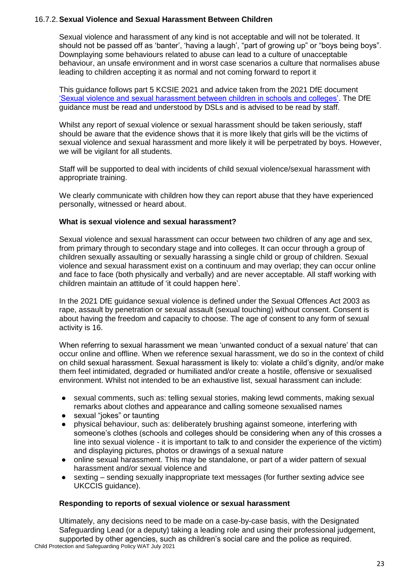## 16.7.2.**Sexual Violence and Sexual Harassment Between Children**

Sexual violence and harassment of any kind is not acceptable and will not be tolerated. It should not be passed off as 'banter', 'having a laugh', "part of growing up" or "boys being boys". Downplaying some behaviours related to abuse can lead to a culture of unacceptable behaviour, an unsafe environment and in worst case scenarios a culture that normalises abuse leading to children accepting it as normal and not coming forward to report it

This guidance follows part 5 KCSIE 2021 and advice taken from the 2021 DfE document ['Sexual violence and sexual harassment between children in schools and colleges'.](https://assets.publishing.service.gov.uk/government/uploads/system/uploads/attachment_data/file/999239/SVSH_2021.pdf) The DfE guidance must be read and understood by DSLs and is advised to be read by staff.

Whilst any report of sexual violence or sexual harassment should be taken seriously, staff should be aware that the evidence shows that it is more likely that girls will be the victims of sexual violence and sexual harassment and more likely it will be perpetrated by boys. However, we will be vigilant for all students.

Staff will be supported to deal with incidents of child sexual violence/sexual harassment with appropriate training.

We clearly communicate with children how they can report abuse that they have experienced personally, witnessed or heard about.

## **What is sexual violence and sexual harassment?**

Sexual violence and sexual harassment can occur between two children of any age and sex, from primary through to secondary stage and into colleges. It can occur through a group of children sexually assaulting or sexually harassing a single child or group of children. Sexual violence and sexual harassment exist on a continuum and may overlap; they can occur online and face to face (both physically and verbally) and are never acceptable. All staff working with children maintain an attitude of 'it could happen here'.

In the 2021 DfE guidance sexual violence is defined under the Sexual Offences Act 2003 as rape, assault by penetration or sexual assault (sexual touching) without consent. Consent is about having the freedom and capacity to choose. The age of consent to any form of sexual activity is 16.

When referring to sexual harassment we mean 'unwanted conduct of a sexual nature' that can occur online and offline. When we reference sexual harassment, we do so in the context of child on child sexual harassment. Sexual harassment is likely to: violate a child's dignity, and/or make them feel intimidated, degraded or humiliated and/or create a hostile, offensive or sexualised environment. Whilst not intended to be an exhaustive list, sexual harassment can include:

- sexual comments, such as: telling sexual stories, making lewd comments, making sexual remarks about clothes and appearance and calling someone sexualised names
- sexual "jokes" or taunting
- physical behaviour, such as: deliberately brushing against someone, interfering with someone's clothes (schools and colleges should be considering when any of this crosses a line into sexual violence - it is important to talk to and consider the experience of the victim) and displaying pictures, photos or drawings of a sexual nature
- online sexual harassment. This may be standalone, or part of a wider pattern of sexual harassment and/or sexual violence and
- sexting sending sexually inappropriate text messages (for further sexting advice see UKCCIS guidance).

## **Responding to reports of sexual violence or sexual harassment**

Child Protection and Safeguarding Policy WAT July 2021 Ultimately, any decisions need to be made on a case-by-case basis, with the Designated Safeguarding Lead (or a deputy) taking a leading role and using their professional judgement, supported by other agencies, such as children's social care and the police as required.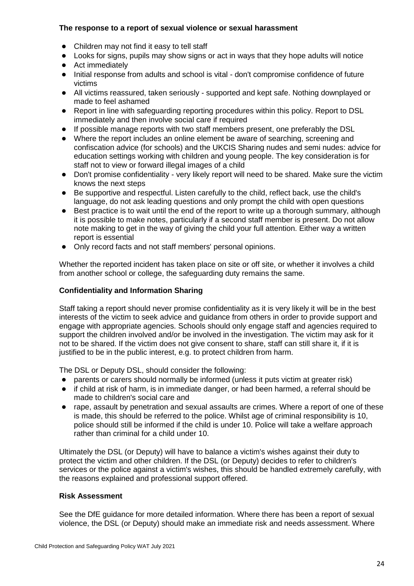## **The response to a report of sexual violence or sexual harassment**

- Children may not find it easy to tell staff
- Looks for signs, pupils may show signs or act in ways that they hope adults will notice
- Act immediately
- Initial response from adults and school is vital don't compromise confidence of future victims
- All victims reassured, taken seriously supported and kept safe. Nothing downplayed or made to feel ashamed
- Report in line with safeguarding reporting procedures within this policy. Report to DSL immediately and then involve social care if required
- If possible manage reports with two staff members present, one preferably the DSL
- Where the report includes an online element be aware of searching, screening and confiscation advice (for schools) and the UKCIS Sharing nudes and semi nudes: advice for education settings working with children and young people. The key consideration is for staff not to view or forward illegal images of a child
- Don't promise confidentiality very likely report will need to be shared. Make sure the victim knows the next steps
- Be supportive and respectful. Listen carefully to the child, reflect back, use the child's language, do not ask leading questions and only prompt the child with open questions
- Best practice is to wait until the end of the report to write up a thorough summary, although it is possible to make notes, particularly if a second staff member is present. Do not allow note making to get in the way of giving the child your full attention. Either way a written report is essential
- Only record facts and not staff members' personal opinions.

Whether the reported incident has taken place on site or off site, or whether it involves a child from another school or college, the safeguarding duty remains the same.

## **Confidentiality and Information Sharing**

Staff taking a report should never promise confidentiality as it is very likely it will be in the best interests of the victim to seek advice and guidance from others in order to provide support and engage with appropriate agencies. Schools should only engage staff and agencies required to support the children involved and/or be involved in the investigation. The victim may ask for it not to be shared. If the victim does not give consent to share, staff can still share it, if it is justified to be in the public interest, e.g. to protect children from harm.

The DSL or Deputy DSL, should consider the following:

- parents or carers should normally be informed (unless it puts victim at greater risk)
- if child at risk of harm, is in immediate danger, or had been harmed, a referral should be made to children's social care and
- rape, assault by penetration and sexual assaults are crimes. Where a report of one of these is made, this should be referred to the police. Whilst age of criminal responsibility is 10, police should still be informed if the child is under 10. Police will take a welfare approach rather than criminal for a child under 10.

Ultimately the DSL (or Deputy) will have to balance a victim's wishes against their duty to protect the victim and other children. If the DSL (or Deputy) decides to refer to children's services or the police against a victim's wishes, this should be handled extremely carefully, with the reasons explained and professional support offered.

## **Risk Assessment**

See the DfE guidance for more detailed information. Where there has been a report of sexual violence, the DSL (or Deputy) should make an immediate risk and needs assessment. Where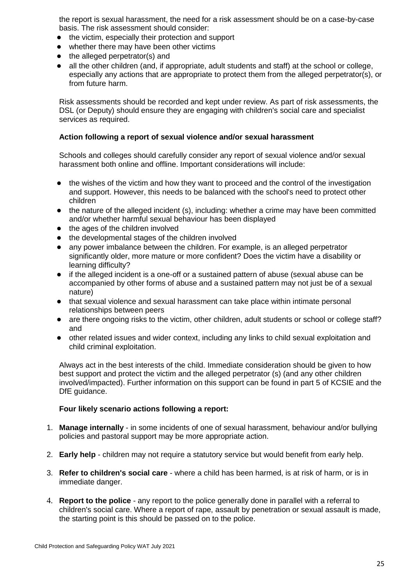the report is sexual harassment, the need for a risk assessment should be on a case-by-case basis. The risk assessment should consider:

- the victim, especially their protection and support
- whether there may have been other victims
- the alleged perpetrator(s) and
- all the other children (and, if appropriate, adult students and staff) at the school or college, especially any actions that are appropriate to protect them from the alleged perpetrator(s), or from future harm.

Risk assessments should be recorded and kept under review. As part of risk assessments, the DSL (or Deputy) should ensure they are engaging with children's social care and specialist services as required.

## **Action following a report of sexual violence and/or sexual harassment**

Schools and colleges should carefully consider any report of sexual violence and/or sexual harassment both online and offline. Important considerations will include:

- the wishes of the victim and how they want to proceed and the control of the investigation and support. However, this needs to be balanced with the school's need to protect other children
- the nature of the alleged incident (s), including: whether a crime may have been committed and/or whether harmful sexual behaviour has been displayed
- the ages of the children involved
- the developmental stages of the children involved
- any power imbalance between the children. For example, is an alleged perpetrator significantly older, more mature or more confident? Does the victim have a disability or learning difficulty?
- if the alleged incident is a one-off or a sustained pattern of abuse (sexual abuse can be accompanied by other forms of abuse and a sustained pattern may not just be of a sexual nature)
- that sexual violence and sexual harassment can take place within intimate personal relationships between peers
- are there ongoing risks to the victim, other children, adult students or school or college staff? and
- other related issues and wider context, including any links to child sexual exploitation and child criminal exploitation.

Always act in the best interests of the child. Immediate consideration should be given to how best support and protect the victim and the alleged perpetrator (s) (and any other children involved/impacted). Further information on this support can be found in part 5 of KCSIE and the DfE guidance.

## **Four likely scenario actions following a report:**

- 1. **Manage internally** in some incidents of one of sexual harassment, behaviour and/or bullying policies and pastoral support may be more appropriate action.
- 2. **Early help** children may not require a statutory service but would benefit from early help.
- 3. **Refer to children's social care** where a child has been harmed, is at risk of harm, or is in immediate danger.
- 4. **Report to the police**  any report to the police generally done in parallel with a referral to children's social care. Where a report of rape, assault by penetration or sexual assault is made, the starting point is this should be passed on to the police.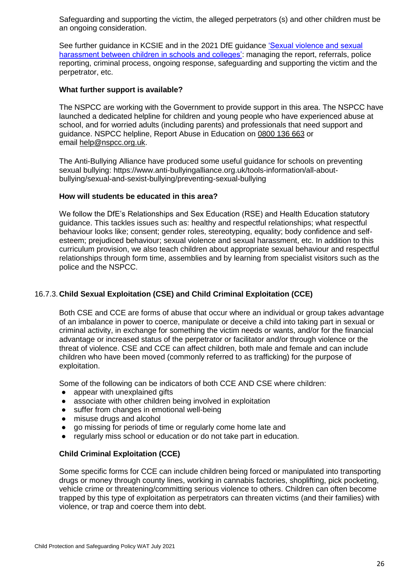Safeguarding and supporting the victim, the alleged perpetrators (s) and other children must be an ongoing consideration.

See further guidance in KCSIE and in the 2021 DfE guidance ['Sexual violence and sexual](https://www.gov.uk/government/publications/sexual-violence-and-sexual-harassment-between-children-in-schools-and-colleges)  [harassment between children in schools and colleges':](https://www.gov.uk/government/publications/sexual-violence-and-sexual-harassment-between-children-in-schools-and-colleges) managing the report, referrals, police reporting, criminal process, ongoing response, safeguarding and supporting the victim and the perpetrator, etc.

#### **What further support is available?**

The NSPCC are working with the Government to provide support in this area. The NSPCC have launched a dedicated helpline for children and young people who have experienced abuse at school, and for worried adults (including parents) and professionals that need support and guidance. NSPCC helpline, Report Abuse in Education on [0800 136 663](about:blank) or email [help@nspcc.org.uk](mailto:help@nspcc.org.uk).

The Anti-Bullying Alliance have produced some useful guidance for schools on preventing sexual bullying: https://www.anti-bullyingalliance.org.uk/tools-information/all-aboutbullying/sexual-and-sexist-bullying/preventing-sexual-bullying

#### **How will students be educated in this area?**

We follow the DfE's Relationships and Sex Education (RSE) and Health Education statutory guidance. This tackles issues such as: healthy and respectful relationships; what respectful behaviour looks like; consent; gender roles, stereotyping, equality; body confidence and selfesteem; prejudiced behaviour; sexual violence and sexual harassment, etc. In addition to this curriculum provision, we also teach children about appropriate sexual behaviour and respectful relationships through form time, assemblies and by learning from specialist visitors such as the police and the NSPCC.

## 16.7.3. **Child Sexual Exploitation (CSE) and Child Criminal Exploitation (CCE)**

Both CSE and CCE are forms of abuse that occur where an individual or group takes advantage of an imbalance in power to coerce, manipulate or deceive a child into taking part in sexual or criminal activity, in exchange for something the victim needs or wants, and/or for the financial advantage or increased status of the perpetrator or facilitator and/or through violence or the threat of violence. CSE and CCE can affect children, both male and female and can include children who have been moved (commonly referred to as trafficking) for the purpose of exploitation.

Some of the following can be indicators of both CCE AND CSE where children:

- appear with unexplained gifts
- associate with other children being involved in exploitation
- suffer from changes in emotional well-being
- misuse drugs and alcohol
- go missing for periods of time or regularly come home late and
- regularly miss school or education or do not take part in education.

## **Child Criminal Exploitation (CCE)**

Some specific forms for CCE can include children being forced or manipulated into transporting drugs or money through county lines, working in cannabis factories, shoplifting, pick pocketing, vehicle crime or threatening/committing serious violence to others. Children can often become trapped by this type of exploitation as perpetrators can threaten victims (and their families) with violence, or trap and coerce them into debt.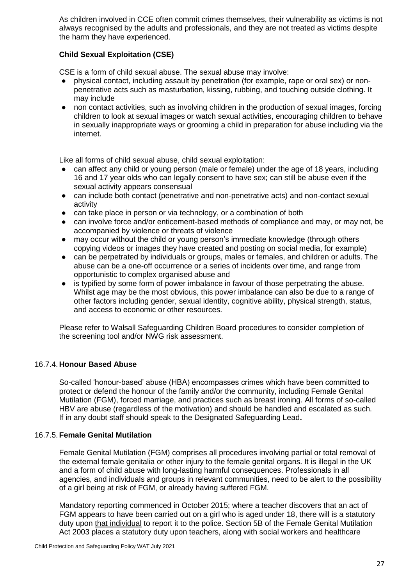As children involved in CCE often commit crimes themselves, their vulnerability as victims is not always recognised by the adults and professionals, and they are not treated as victims despite the harm they have experienced.

## **Child Sexual Exploitation (CSE)**

CSE is a form of child sexual abuse. The sexual abuse may involve:

- physical contact, including assault by penetration (for example, rape or oral sex) or nonpenetrative acts such as masturbation, kissing, rubbing, and touching outside clothing. It may include
- non contact activities, such as involving children in the production of sexual images, forcing children to look at sexual images or watch sexual activities, encouraging children to behave in sexually inappropriate ways or grooming a child in preparation for abuse including via the internet.

Like all forms of child sexual abuse, child sexual exploitation:

- can affect any child or young person (male or female) under the age of 18 years, including 16 and 17 year olds who can legally consent to have sex; can still be abuse even if the sexual activity appears consensual
- can include both contact (penetrative and non-penetrative acts) and non-contact sexual activity
- can take place in person or via technology, or a combination of both
- can involve force and/or enticement-based methods of compliance and may, or may not, be accompanied by violence or threats of violence
- may occur without the child or young person's immediate knowledge (through others copying videos or images they have created and posting on social media, for example)
- can be perpetrated by individuals or groups, males or females, and children or adults. The abuse can be a one-off occurrence or a series of incidents over time, and range from opportunistic to complex organised abuse and
- is typified by some form of power imbalance in favour of those perpetrating the abuse. Whilst age may be the most obvious, this power imbalance can also be due to a range of other factors including gender, sexual identity, cognitive ability, physical strength, status, and access to economic or other resources.

Please refer to Walsall Safeguarding Children Board procedures to consider completion of the screening tool and/or NWG risk assessment.

## 16.7.4. **Honour Based Abuse**

So-called 'honour-based' abuse (HBA) encompasses crimes which have been committed to protect or defend the honour of the family and/or the community, including Female Genital Mutilation (FGM), forced marriage, and practices such as breast ironing. All forms of so-called HBV are abuse (regardless of the motivation) and should be handled and escalated as such. If in any doubt staff should speak to the Designated Safeguarding Lead**.**

## 16.7.5. **Female Genital Mutilation**

Female Genital Mutilation (FGM) comprises all procedures involving partial or total removal of the external female genitalia or other injury to the female genital organs. It is illegal in the UK and a form of child abuse with long-lasting harmful consequences. Professionals in all agencies, and individuals and groups in relevant communities, need to be alert to the possibility of a girl being at risk of FGM, or already having suffered FGM.

Mandatory reporting commenced in October 2015; where a teacher discovers that an act of FGM appears to have been carried out on a girl who is aged under 18, there will is a statutory duty upon that individual to report it to the police. Section 5B of the Female Genital Mutilation Act 2003 places a statutory duty upon teachers, along with social workers and healthcare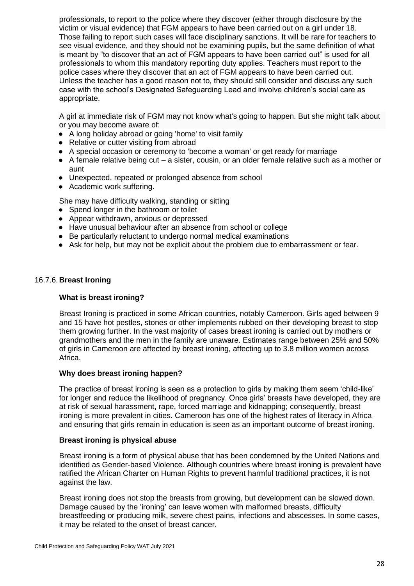professionals, to report to the police where they discover (either through disclosure by the victim or visual evidence) that FGM appears to have been carried out on a girl under 18. Those failing to report such cases will face disciplinary sanctions. It will be rare for teachers to see visual evidence, and they should not be examining pupils, but the same definition of what is meant by "to discover that an act of FGM appears to have been carried out" is used for all professionals to whom this mandatory reporting duty applies. Teachers must report to the police cases where they discover that an act of FGM appears to have been carried out. Unless the teacher has a good reason not to, they should still consider and discuss any such case with the school's Designated Safeguarding Lead and involve children's social care as appropriate.

A girl at immediate risk of FGM may not know what's going to happen. But she might talk about or you may become aware of:

- A long holiday abroad or going 'home' to visit family
- Relative or cutter visiting from abroad
- A special occasion or ceremony to 'become a woman' or get ready for marriage
- A female relative being cut a sister, cousin, or an older female relative such as a mother or aunt
- Unexpected, repeated or prolonged absence from school
- Academic work suffering.

She may have difficulty walking, standing or sitting

- Spend longer in the bathroom or toilet
- Appear withdrawn, anxious or depressed
- Have unusual behaviour after an absence from school or college
- Be particularly reluctant to undergo normal medical examinations
- Ask for help, but may not be explicit about the problem due to embarrassment or fear.

## 16.7.6. **Breast Ironing**

## **What is breast ironing?**

Breast Ironing is practiced in some African countries, notably Cameroon. Girls aged between 9 and 15 have hot pestles, stones or other implements rubbed on their developing breast to stop them growing further. In the vast majority of cases breast ironing is carried out by mothers or grandmothers and the men in the family are unaware. Estimates range between 25% and 50% of girls in Cameroon are affected by breast ironing, affecting up to 3.8 million women across Africa.

## **Why does breast ironing happen?**

The practice of breast ironing is seen as a protection to girls by making them seem 'child-like' for longer and reduce the likelihood of pregnancy. Once girls' breasts have developed, they are at risk of sexual harassment, rape, forced marriage and kidnapping; consequently, breast ironing is more prevalent in cities. Cameroon has one of the highest rates of literacy in Africa and ensuring that girls remain in education is seen as an important outcome of breast ironing.

## **Breast ironing is physical abuse**

Breast ironing is a form of physical abuse that has been condemned by the United Nations and identified as Gender-based Violence. Although countries where breast ironing is prevalent have ratified the African Charter on Human Rights to prevent harmful traditional practices, it is not against the law.

Breast ironing does not stop the breasts from growing, but development can be slowed down. Damage caused by the 'ironing' can leave women with malformed breasts, difficulty breastfeeding or producing milk, severe chest pains, infections and abscesses. In some cases, it may be related to the onset of breast cancer.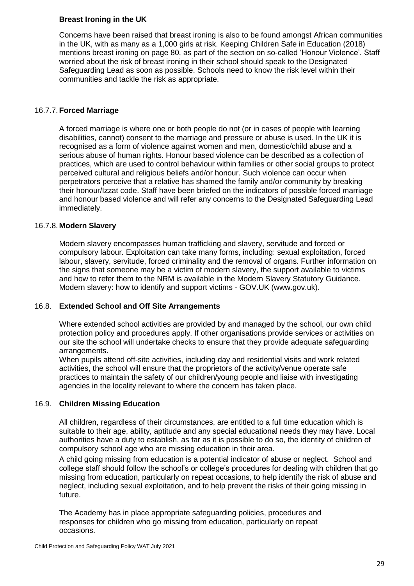## **Breast Ironing in the UK**

Concerns have been raised that breast ironing is also to be found amongst African communities in the UK, with as many as a 1,000 girls at risk. Keeping Children Safe in Education (2018) mentions breast ironing on page 80, as part of the section on so-called 'Honour Violence'. Staff worried about the risk of breast ironing in their school should speak to the Designated Safeguarding Lead as soon as possible. Schools need to know the risk level within their communities and tackle the risk as appropriate.

## 16.7.7. **Forced Marriage**

A forced marriage is where one or both people do not (or in cases of people with learning disabilities, cannot) consent to the marriage and pressure or abuse is used. In the UK it is recognised as a form of violence against women and men, domestic/child abuse and a serious abuse of human rights. Honour based violence can be described as a collection of practices, which are used to control behaviour within families or other social groups to protect perceived cultural and religious beliefs and/or honour. Such violence can occur when perpetrators perceive that a relative has shamed the family and/or community by breaking their honour/Izzat code. Staff have been briefed on the indicators of possible forced marriage and honour based violence and will refer any concerns to the Designated Safeguarding Lead immediately.

## 16.7.8. **Modern Slavery**

Modern slavery encompasses human trafficking and slavery, servitude and forced or compulsory labour. Exploitation can take many forms, including: sexual exploitation, forced labour, slavery, servitude, forced criminality and the removal of organs. Further information on the signs that someone may be a victim of modern slavery, the support available to victims and how to refer them to the NRM is available in the Modern Slavery Statutory Guidance. Modern slavery: how to identify and support victims - GOV.UK (www.gov.uk).

## 16.8. **Extended School and Off Site Arrangements**

Where extended school activities are provided by and managed by the school, our own child protection policy and procedures apply. If other organisations provide services or activities on our site the school will undertake checks to ensure that they provide adequate safeguarding arrangements.

When pupils attend off-site activities, including day and residential visits and work related activities, the school will ensure that the proprietors of the activity/venue operate safe practices to maintain the safety of our children/young people and liaise with investigating agencies in the locality relevant to where the concern has taken place.

## 16.9. **Children Missing Education**

All children, regardless of their circumstances, are entitled to a full time education which is suitable to their age, ability, aptitude and any special educational needs they may have. Local authorities have a duty to establish, as far as it is possible to do so, the identity of children of compulsory school age who are missing education in their area.

A child going missing from education is a potential indicator of abuse or neglect. School and college staff should follow the school's or college's procedures for dealing with children that go missing from education, particularly on repeat occasions, to help identify the risk of abuse and neglect, including sexual exploitation, and to help prevent the risks of their going missing in future.

The Academy has in place appropriate safeguarding policies, procedures and responses for children who go missing from education, particularly on repeat occasions.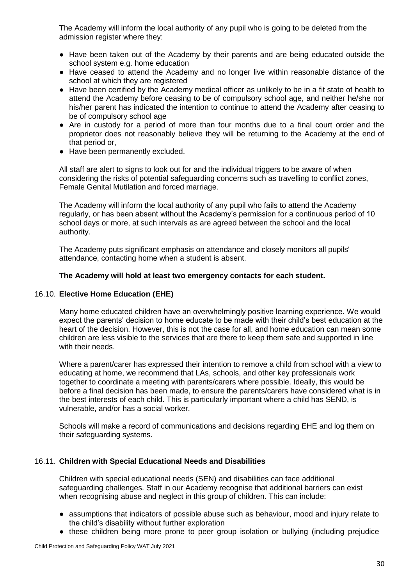The Academy will inform the local authority of any pupil who is going to be deleted from the admission register where they:

- Have been taken out of the Academy by their parents and are being educated outside the school system e.g. home education
- Have ceased to attend the Academy and no longer live within reasonable distance of the school at which they are registered
- Have been certified by the Academy medical officer as unlikely to be in a fit state of health to attend the Academy before ceasing to be of compulsory school age, and neither he/she nor his/her parent has indicated the intention to continue to attend the Academy after ceasing to be of compulsory school age
- Are in custody for a period of more than four months due to a final court order and the proprietor does not reasonably believe they will be returning to the Academy at the end of that period or,
- Have been permanently excluded.

All staff are alert to signs to look out for and the individual triggers to be aware of when considering the risks of potential safeguarding concerns such as travelling to conflict zones, Female Genital Mutilation and forced marriage.

The Academy will inform the local authority of any pupil who fails to attend the Academy regularly, or has been absent without the Academy's permission for a continuous period of 10 school days or more, at such intervals as are agreed between the school and the local authority.

The Academy puts significant emphasis on attendance and closely monitors all pupils' attendance, contacting home when a student is absent.

## **The Academy will hold at least two emergency contacts for each student.**

## 16.10. **Elective Home Education (EHE)**

Many home educated children have an overwhelmingly positive learning experience. We would expect the parents' decision to home educate to be made with their child's best education at the heart of the decision. However, this is not the case for all, and home education can mean some children are less visible to the services that are there to keep them safe and supported in line with their needs.

Where a parent/carer has expressed their intention to remove a child from school with a view to educating at home, we recommend that LAs, schools, and other key professionals work together to coordinate a meeting with parents/carers where possible. Ideally, this would be before a final decision has been made, to ensure the parents/carers have considered what is in the best interests of each child. This is particularly important where a child has SEND, is vulnerable, and/or has a social worker.

Schools will make a record of communications and decisions regarding EHE and log them on their safeguarding systems.

## 16.11. **Children with Special Educational Needs and Disabilities**

Children with special educational needs (SEN) and disabilities can face additional safeguarding challenges. Staff in our Academy recognise that additional barriers can exist when recognising abuse and neglect in this group of children. This can include:

- assumptions that indicators of possible abuse such as behaviour, mood and injury relate to the child's disability without further exploration
- these children being more prone to peer group isolation or bullying (including prejudice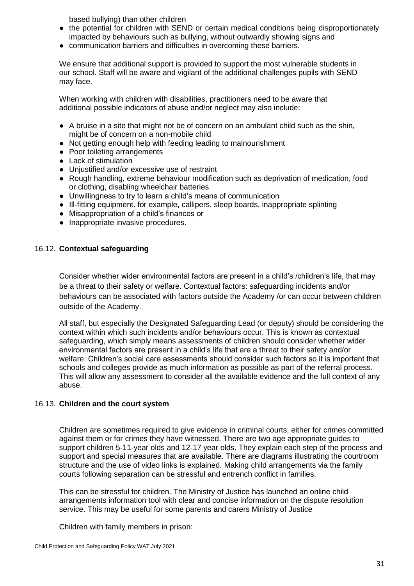based bullying) than other children

- the potential for children with SEND or certain medical conditions being disproportionately impacted by behaviours such as bullying, without outwardly showing signs and
- communication barriers and difficulties in overcoming these barriers.

We ensure that additional support is provided to support the most vulnerable students in our school. Staff will be aware and vigilant of the additional challenges pupils with SEND may face.

When working with children with disabilities, practitioners need to be aware that additional possible indicators of abuse and/or neglect may also include:

- A bruise in a site that might not be of concern on an ambulant child such as the shin, might be of concern on a non-mobile child
- Not getting enough help with feeding leading to malnourishment
- Poor toileting arrangements
- Lack of stimulation
- Unjustified and/or excessive use of restraint
- Rough handling, extreme behaviour modification such as deprivation of medication, food or clothing, disabling wheelchair batteries
- Unwillingness to try to learn a child's means of communication
- Ill-fitting equipment. for example, callipers, sleep boards, inappropriate splinting
- Misappropriation of a child's finances or
- Inappropriate invasive procedures.

#### 16.12. **Contextual safeguarding**

Consider whether wider environmental factors are present in a child's /children's life, that may be a threat to their safety or welfare. Contextual factors: safeguarding incidents and/or behaviours can be associated with factors outside the Academy /or can occur between children outside of the Academy.

All staff, but especially the Designated Safeguarding Lead (or deputy) should be considering the context within which such incidents and/or behaviours occur. This is known as contextual safeguarding, which simply means assessments of children should consider whether wider environmental factors are present in a child's life that are a threat to their safety and/or welfare. Children's social care assessments should consider such factors so it is important that schools and colleges provide as much information as possible as part of the referral process. This will allow any assessment to consider all the available evidence and the full context of any abuse.

#### 16.13. **Children and the court system**

Children are sometimes required to give evidence in criminal courts, either for crimes committed against them or for crimes they have witnessed. There are two age appropriate guides to support children 5-11-year olds and 12-17 year olds. They explain each step of the process and support and special measures that are available. There are diagrams illustrating the courtroom structure and the use of video links is explained. Making child arrangements via the family courts following separation can be stressful and entrench conflict in families.

This can be stressful for children. The Ministry of Justice has launched an online child arrangements information tool with clear and concise information on the dispute resolution service. This may be useful for some parents and carers Ministry of Justice

Children with family members in prison: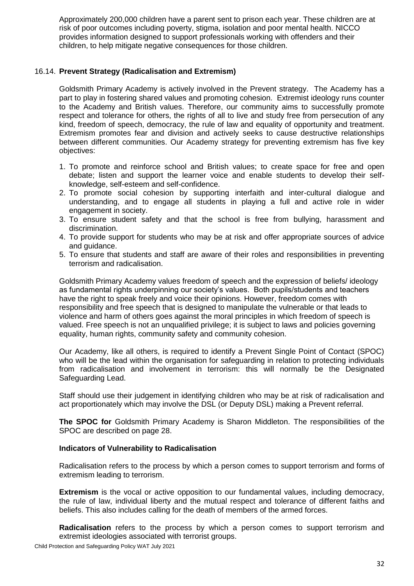Approximately 200,000 children have a parent sent to prison each year. These children are at risk of poor outcomes including poverty, stigma, isolation and poor mental health. NICCO provides information designed to support professionals working with offenders and their children, to help mitigate negative consequences for those children.

## 16.14. **Prevent Strategy (Radicalisation and Extremism)**

Goldsmith Primary Academy is actively involved in the Prevent strategy. The Academy has a part to play in fostering shared values and promoting cohesion. Extremist ideology runs counter to the Academy and British values. Therefore, our community aims to successfully promote respect and tolerance for others, the rights of all to live and study free from persecution of any kind, freedom of speech, democracy, the rule of law and equality of opportunity and treatment. Extremism promotes fear and division and actively seeks to cause destructive relationships between different communities. Our Academy strategy for preventing extremism has five key objectives:

- 1. To promote and reinforce school and British values; to create space for free and open debate; listen and support the learner voice and enable students to develop their selfknowledge, self-esteem and self-confidence.
- 2. To promote social cohesion by supporting interfaith and inter-cultural dialogue and understanding, and to engage all students in playing a full and active role in wider engagement in society.
- 3. To ensure student safety and that the school is free from bullying, harassment and discrimination.
- 4. To provide support for students who may be at risk and offer appropriate sources of advice and guidance.
- 5. To ensure that students and staff are aware of their roles and responsibilities in preventing terrorism and radicalisation.

Goldsmith Primary Academy values freedom of speech and the expression of beliefs/ ideology as fundamental rights underpinning our society's values. Both pupils/students and teachers have the right to speak freely and voice their opinions. However, freedom comes with responsibility and free speech that is designed to manipulate the vulnerable or that leads to violence and harm of others goes against the moral principles in which freedom of speech is valued. Free speech is not an unqualified privilege; it is subject to laws and policies governing equality, human rights, community safety and community cohesion.

Our Academy, like all others, is required to identify a Prevent Single Point of Contact (SPOC) who will be the lead within the organisation for safeguarding in relation to protecting individuals from radicalisation and involvement in terrorism: this will normally be the Designated Safeguarding Lead.

Staff should use their judgement in identifying children who may be at risk of radicalisation and act proportionately which may involve the DSL (or Deputy DSL) making a Prevent referral.

**The SPOC for** Goldsmith Primary Academy is Sharon Middleton. The responsibilities of the SPOC are described on page 28.

#### **Indicators of Vulnerability to Radicalisation**

Radicalisation refers to the process by which a person comes to support terrorism and forms of extremism leading to terrorism.

**Extremism** is the vocal or active opposition to our fundamental values, including democracy, the rule of law, individual liberty and the mutual respect and tolerance of different faiths and beliefs. This also includes calling for the death of members of the armed forces.

**Radicalisation** refers to the process by which a person comes to support terrorism and extremist ideologies associated with terrorist groups.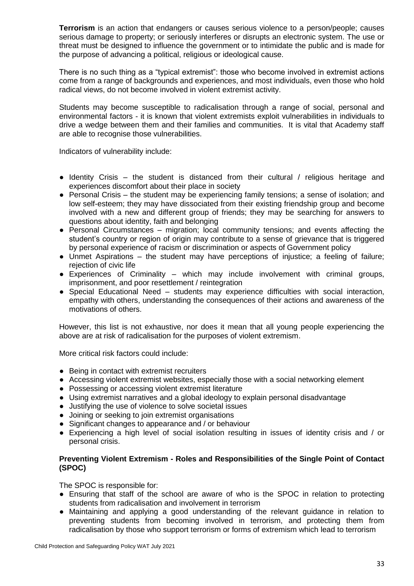**Terrorism** is an action that endangers or causes serious violence to a person/people; causes serious damage to property; or seriously interferes or disrupts an electronic system. The use or threat must be designed to influence the government or to intimidate the public and is made for the purpose of advancing a political, religious or ideological cause.

There is no such thing as a "typical extremist": those who become involved in extremist actions come from a range of backgrounds and experiences, and most individuals, even those who hold radical views, do not become involved in violent extremist activity.

Students may become susceptible to radicalisation through a range of social, personal and environmental factors - it is known that violent extremists exploit vulnerabilities in individuals to drive a wedge between them and their families and communities. It is vital that Academy staff are able to recognise those vulnerabilities.

Indicators of vulnerability include:

- Identity Crisis the student is distanced from their cultural / religious heritage and experiences discomfort about their place in society
- Personal Crisis the student may be experiencing family tensions; a sense of isolation; and low self-esteem; they may have dissociated from their existing friendship group and become involved with a new and different group of friends; they may be searching for answers to questions about identity, faith and belonging
- Personal Circumstances migration; local community tensions; and events affecting the student's country or region of origin may contribute to a sense of grievance that is triggered by personal experience of racism or discrimination or aspects of Government policy
- Unmet Aspirations the student may have perceptions of injustice; a feeling of failure; rejection of civic life
- Experiences of Criminality which may include involvement with criminal groups, imprisonment, and poor resettlement / reintegration
- Special Educational Need students may experience difficulties with social interaction, empathy with others, understanding the consequences of their actions and awareness of the motivations of others.

However, this list is not exhaustive, nor does it mean that all young people experiencing the above are at risk of radicalisation for the purposes of violent extremism.

More critical risk factors could include:

- Being in contact with extremist recruiters
- Accessing violent extremist websites, especially those with a social networking element
- Possessing or accessing violent extremist literature
- Using extremist narratives and a global ideology to explain personal disadvantage
- Justifying the use of violence to solve societal issues
- Joining or seeking to join extremist organisations
- Significant changes to appearance and / or behaviour
- Experiencing a high level of social isolation resulting in issues of identity crisis and / or personal crisis.

#### **Preventing Violent Extremism - Roles and Responsibilities of the Single Point of Contact (SPOC)**

The SPOC is responsible for:

- Ensuring that staff of the school are aware of who is the SPOC in relation to protecting students from radicalisation and involvement in terrorism
- Maintaining and applying a good understanding of the relevant guidance in relation to preventing students from becoming involved in terrorism, and protecting them from radicalisation by those who support terrorism or forms of extremism which lead to terrorism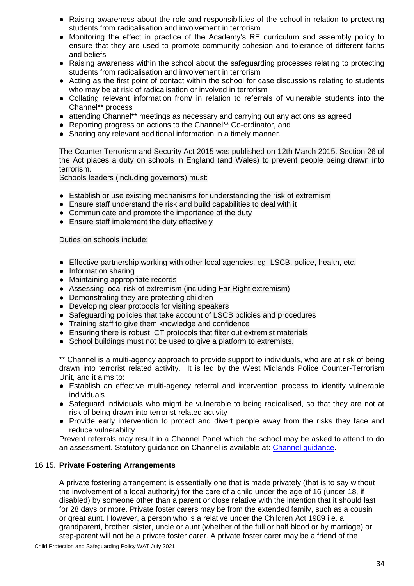- Raising awareness about the role and responsibilities of the school in relation to protecting students from radicalisation and involvement in terrorism
- Monitoring the effect in practice of the Academy's RE curriculum and assembly policy to ensure that they are used to promote community cohesion and tolerance of different faiths and beliefs
- Raising awareness within the school about the safeguarding processes relating to protecting students from radicalisation and involvement in terrorism
- Acting as the first point of contact within the school for case discussions relating to students who may be at risk of radicalisation or involved in terrorism
- Collating relevant information from/ in relation to referrals of vulnerable students into the Channel\*\* process
- attending Channel\*\* meetings as necessary and carrying out any actions as agreed
- Reporting progress on actions to the Channel\*\* Co-ordinator, and
- Sharing any relevant additional information in a timely manner.

The Counter Terrorism and Security Act 2015 was published on 12th March 2015. Section 26 of the Act places a duty on schools in England (and Wales) to prevent people being drawn into terrorism.

Schools leaders (including governors) must:

- Establish or use existing mechanisms for understanding the risk of extremism
- Ensure staff understand the risk and build capabilities to deal with it
- Communicate and promote the importance of the duty
- Ensure staff implement the duty effectively

Duties on schools include:

- Effective partnership working with other local agencies, eg. LSCB, police, health, etc.
- Information sharing
- Maintaining appropriate records
- Assessing local risk of extremism (including Far Right extremism)
- Demonstrating they are protecting children
- Developing clear protocols for visiting speakers
- Safeguarding policies that take account of LSCB policies and procedures
- Training staff to give them knowledge and confidence
- Ensuring there is robust ICT protocols that filter out extremist materials
- School buildings must not be used to give a platform to extremists.

\*\* Channel is a multi-agency approach to provide support to individuals, who are at risk of being drawn into terrorist related activity. It is led by the West Midlands Police Counter-Terrorism Unit, and it aims to:

- Establish an effective multi-agency referral and intervention process to identify vulnerable individuals
- Safeguard individuals who might be vulnerable to being radicalised, so that they are not at risk of being drawn into terrorist-related activity
- Provide early intervention to protect and divert people away from the risks they face and reduce vulnerability

Prevent referrals may result in a Channel Panel which the school may be asked to attend to do an assessment. Statutory guidance on Channel is available at: [Channel guidance.](https://www.gov.uk/government/publications/channel-and-prevent-multi-agency-panel-pmap-guidance)

## 16.15. **Private Fostering Arrangements**

A private fostering arrangement is essentially one that is made privately (that is to say without the involvement of a local authority) for the care of a child under the age of 16 (under 18, if disabled) by someone other than a parent or close relative with the intention that it should last for 28 days or more. Private foster carers may be from the extended family, such as a cousin or great aunt. However, a person who is a relative under the Children Act 1989 i.e. a grandparent, brother, sister, uncle or aunt (whether of the full or half blood or by marriage) or step-parent will not be a private foster carer. A private foster carer may be a friend of the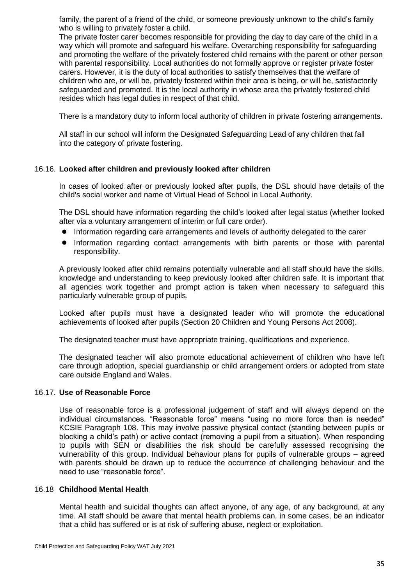family, the parent of a friend of the child, or someone previously unknown to the child's family who is willing to privately foster a child.

The private foster carer becomes responsible for providing the day to day care of the child in a way which will promote and safeguard his welfare. Overarching responsibility for safeguarding and promoting the welfare of the privately fostered child remains with the parent or other person with parental responsibility. Local authorities do not formally approve or register private foster carers. However, it is the duty of local authorities to satisfy themselves that the welfare of children who are, or will be, privately fostered within their area is being, or will be, satisfactorily safeguarded and promoted. It is the local authority in whose area the privately fostered child resides which has legal duties in respect of that child.

There is a mandatory duty to inform local authority of children in private fostering arrangements.

All staff in our school will inform the Designated Safeguarding Lead of any children that fall into the category of private fostering.

#### 16.16. **Looked after children and previously looked after children**

In cases of looked after or previously looked after pupils, the DSL should have details of the child's social worker and name of Virtual Head of School in Local Authority.

The DSL should have information regarding the child's looked after legal status (whether looked after via a voluntary arrangement of interim or full care order).

- Information regarding care arrangements and levels of authority delegated to the carer
- Information regarding contact arrangements with birth parents or those with parental responsibility.

A previously looked after child remains potentially vulnerable and all staff should have the skills, knowledge and understanding to keep previously looked after children safe. It is important that all agencies work together and prompt action is taken when necessary to safeguard this particularly vulnerable group of pupils.

Looked after pupils must have a designated leader who will promote the educational achievements of looked after pupils (Section 20 Children and Young Persons Act 2008).

The designated teacher must have appropriate training, qualifications and experience.

The designated teacher will also promote educational achievement of children who have left care through adoption, special guardianship or child arrangement orders or adopted from state care outside England and Wales.

#### 16.17. **Use of Reasonable Force**

Use of reasonable force is a professional judgement of staff and will always depend on the individual circumstances. "Reasonable force" means "using no more force than is needed" KCSIE Paragraph 108. This may involve passive physical contact (standing between pupils or blocking a child's path) or active contact (removing a pupil from a situation). When responding to pupils with SEN or disabilities the risk should be carefully assessed recognising the vulnerability of this group. Individual behaviour plans for pupils of vulnerable groups – agreed with parents should be drawn up to reduce the occurrence of challenging behaviour and the need to use "reasonable force".

#### 16.18 **Childhood Mental Health**

Mental health and suicidal thoughts can affect anyone, of any age, of any background, at any time. All staff should be aware that mental health problems can, in some cases, be an indicator that a child has suffered or is at risk of suffering abuse, neglect or exploitation.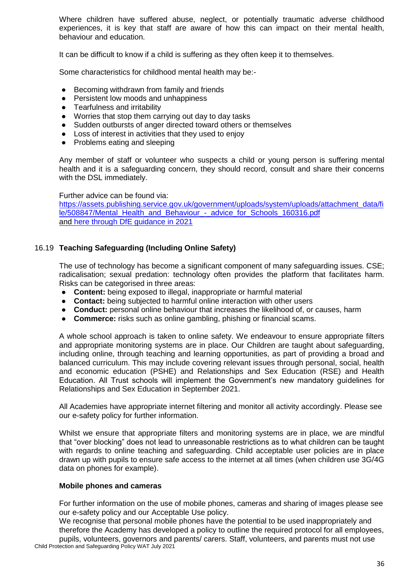Where children have suffered abuse, neglect, or potentially traumatic adverse childhood experiences, it is key that staff are aware of how this can impact on their mental health, behaviour and education.

It can be difficult to know if a child is suffering as they often keep it to themselves.

Some characteristics for childhood mental health may be:-

- Becoming withdrawn from family and friends
- Persistent low moods and unhappiness
- Tearfulness and irritability
- Worries that stop them carrying out day to day tasks
- Sudden outbursts of anger directed toward others or themselves
- Loss of interest in activities that they used to enjoy
- Problems eating and sleeping

Any member of staff or volunteer who suspects a child or young person is suffering mental health and it is a safeguarding concern, they should record, consult and share their concerns with the DSL immediately.

Further advice can be found via: [https://assets.publishing.service.gov.uk/government/uploads/system/uploads/attachment\\_data/fi](https://assets.publishing.service.gov.uk/government/uploads/system/uploads/attachment_data/file/508847/Mental_Health_and_Behaviour_-_advice_for_Schools_160316.pdf) le/508847/Mental\_Health\_and\_Behaviour - advice\_for\_Schools\_160316.pdf and [here through DfE guidance in 2021](https://www.gov.uk/guidance/mental-health-and-wellbeing-support-in-schools-and-colleges)

## 16.19 **Teaching Safeguarding (Including Online Safety)**

The use of technology has become a significant component of many safeguarding issues. CSE; radicalisation; sexual predation: technology often provides the platform that facilitates harm. Risks can be categorised in three areas:

- **Content:** being exposed to illegal, inappropriate or harmful material
- **Contact:** being subjected to harmful online interaction with other users
- **Conduct:** personal online behaviour that increases the likelihood of, or causes, harm
- **Commerce:** risks such as online gambling, phishing or financial scams.

A whole school approach is taken to online safety. We endeavour to ensure appropriate filters and appropriate monitoring systems are in place. Our Children are taught about safeguarding, including online, through teaching and learning opportunities, as part of providing a broad and balanced curriculum. This may include covering relevant issues through personal, social, health and economic education (PSHE) and Relationships and Sex Education (RSE) and Health Education. All Trust schools will implement the Government's new mandatory guidelines for Relationships and Sex Education in September 2021.

All Academies have appropriate internet filtering and monitor all activity accordingly. Please see our e-safety policy for further information.

Whilst we ensure that appropriate filters and monitoring systems are in place, we are mindful that "over blocking" does not lead to unreasonable restrictions as to what children can be taught with regards to online teaching and safeguarding. Child acceptable user policies are in place drawn up with pupils to ensure safe access to the internet at all times (when children use 3G/4G data on phones for example).

#### **Mobile phones and cameras**

For further information on the use of mobile phones, cameras and sharing of images please see our e-safety policy and our Acceptable Use policy.

We recognise that personal mobile phones have the potential to be used inappropriately and therefore the Academy has developed a policy to outline the required protocol for all employees,

Child Protection and Safeguarding Policy WAT July 2021 pupils, volunteers, governors and parents/ carers. Staff, volunteers, and parents must not use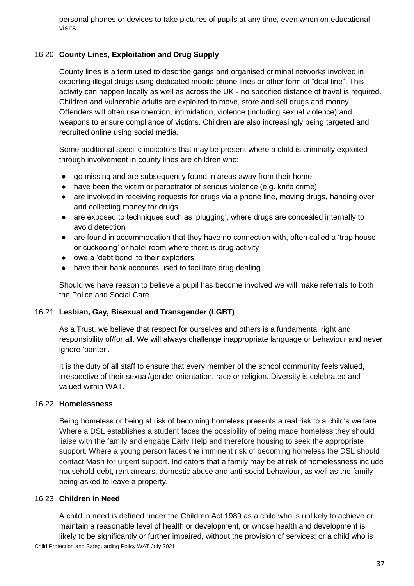personal phones or devices to take pictures of pupils at any time, even when on educational visits.

## 16.20 **County Lines, Exploitation and Drug Supply**

County lines is a term used to describe gangs and organised criminal networks involved in exporting illegal drugs using dedicated mobile phone lines or other form of "deal line". This activity can happen locally as well as across the UK - no specified distance of travel is required. Children and vulnerable adults are exploited to move, store and sell drugs and money. Offenders will often use coercion, intimidation, violence (including sexual violence) and weapons to ensure compliance of victims. Children are also increasingly being targeted and recruited online using social media.

Some additional specific indicators that may be present where a child is criminally exploited through involvement in county lines are children who:

- go missing and are subsequently found in areas away from their home
- have been the victim or perpetrator of serious violence (e.g. knife crime)
- are involved in receiving requests for drugs via a phone line, moving drugs, handing over and collecting money for drugs
- are exposed to techniques such as 'plugging', where drugs are concealed internally to avoid detection
- are found in accommodation that they have no connection with, often called a 'trap house or cuckooing' or hotel room where there is drug activity
- owe a 'debt bond' to their exploiters
- have their bank accounts used to facilitate drug dealing.

Should we have reason to believe a pupil has become involved we will make referrals to both the Police and Social Care.

## 16.21 **Lesbian, Gay, Bisexual and Transgender (LGBT)**

As a Trust, we believe that respect for ourselves and others is a fundamental right and responsibility of/for all. We will always challenge inappropriate language or behaviour and never ignore 'banter'.

It is the duty of all staff to ensure that every member of the school community feels valued, irrespective of their sexual/gender orientation, race or religion. Diversity is celebrated and valued within WAT.

## 16.22 **Homelessness**

Being homeless or being at risk of becoming homeless presents a real risk to a child's welfare. Where a DSL establishes a student faces the possibility of being made homeless they should liaise with the family and engage Early Help and therefore housing to seek the appropriate support. Where a young person faces the imminent risk of becoming homeless the DSL should contact Mash for urgent support. Indicators that a family may be at risk of homelessness include household debt, rent arrears, domestic abuse and anti-social behaviour, as well as the family being asked to leave a property.

## 16.23 **Children in Need**

Child Protection and Safeguarding Policy WAT July 2021 A child in need is defined under the Children Act 1989 as a child who is unlikely to achieve or maintain a reasonable level of health or development, or whose health and development is likely to be significantly or further impaired, without the provision of services; or a child who is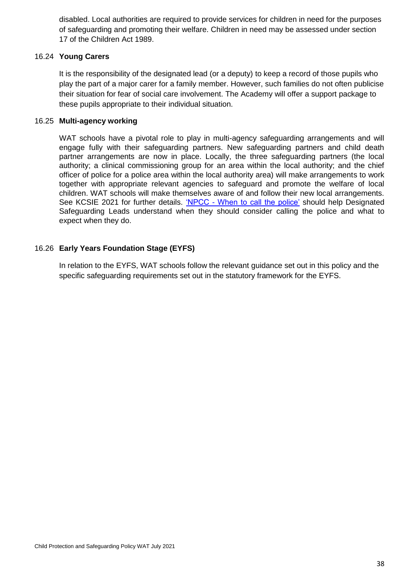disabled. Local authorities are required to provide services for children in need for the purposes of safeguarding and promoting their welfare. Children in need may be assessed under section 17 of the Children Act 1989.

## 16.24 **Young Carers**

It is the responsibility of the designated lead (or a deputy) to keep a record of those pupils who play the part of a major carer for a family member. However, such families do not often publicise their situation for fear of social care involvement. The Academy will offer a support package to these pupils appropriate to their individual situation.

## 16.25 **Multi-agency working**

WAT schools have a pivotal role to play in multi-agency safeguarding arrangements and will engage fully with their safeguarding partners. New safeguarding partners and child death partner arrangements are now in place. Locally, the three safeguarding partners (the local authority; a clinical commissioning group for an area within the local authority; and the chief officer of police for a police area within the local authority area) will make arrangements to work together with appropriate relevant agencies to safeguard and promote the welfare of local children. WAT schools will make themselves aware of and follow their new local arrangements. See KCSIE 2021 for further details. 'NPCC - [When to call the police'](https://www.npcc.police.uk/documents/Children%20and%20Young%20people/When%20to%20call%20the%20police%20guidance%20for%20schools%20and%20colleges.pdf) should help Designated Safeguarding Leads understand when they should consider calling the police and what to expect when they do.

## 16.26 **Early Years Foundation Stage (EYFS)**

In relation to the EYFS, WAT schools follow the relevant guidance set out in this policy and the specific safeguarding requirements set out in the statutory framework for the EYFS.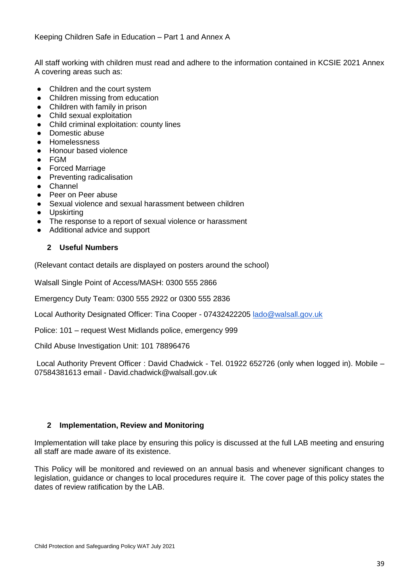All staff working with children must read and adhere to the information contained in KCSIE 2021 Annex A covering areas such as:

- Children and the court system
- Children missing from education
- Children with family in prison
- Child sexual exploitation
- Child criminal exploitation: county lines
- Domestic abuse
- Homelessness
- Honour based violence
- FGM
- Forced Marriage
- **Preventing radicalisation**
- Channel
- Peer on Peer abuse
- Sexual violence and sexual harassment between children
- Upskirting
- The response to a report of sexual violence or harassment
- Additional advice and support

## **2 Useful Numbers**

(Relevant contact details are displayed on posters around the school)

Walsall Single Point of Access/MASH: 0300 555 2866

Emergency Duty Team: 0300 555 2922 or 0300 555 2836

Local Authority Designated Officer: Tina Cooper - 07432422205 [lado@walsall.gov.uk](mailto:lado@walsall.gov.uk)

Police: 101 – request West Midlands police, emergency 999

Child Abuse Investigation Unit: 101 78896476

Local Authority Prevent Officer : David Chadwick - Tel. 01922 652726 (only when logged in). Mobile – 07584381613 email - David.chadwick@walsall.gov.uk

## **2 Implementation, Review and Monitoring**

Implementation will take place by ensuring this policy is discussed at the full LAB meeting and ensuring all staff are made aware of its existence.

This Policy will be monitored and reviewed on an annual basis and whenever significant changes to legislation, guidance or changes to local procedures require it. The cover page of this policy states the dates of review ratification by the LAB.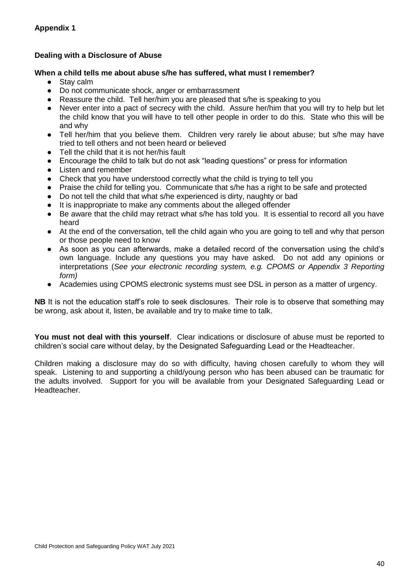## **Dealing with a Disclosure of Abuse**

#### **When a child tells me about abuse s/he has suffered, what must I remember?**

- Stav calm
- Do not communicate shock, anger or embarrassment
- Reassure the child. Tell her/him you are pleased that s/he is speaking to you
- Never enter into a pact of secrecy with the child. Assure her/him that you will try to help but let the child know that you will have to tell other people in order to do this. State who this will be and why
- Tell her/him that you believe them. Children very rarely lie about abuse; but s/he may have tried to tell others and not been heard or believed
- Tell the child that it is not her/his fault
- Encourage the child to talk but do not ask "leading questions" or press for information
- Listen and remember
- Check that you have understood correctly what the child is trying to tell you
- Praise the child for telling you. Communicate that s/he has a right to be safe and protected
- Do not tell the child that what s/he experienced is dirty, naughty or bad
- It is inappropriate to make any comments about the alleged offender
- Be aware that the child may retract what s/he has told you. It is essential to record all you have heard
- At the end of the conversation, tell the child again who you are going to tell and why that person or those people need to know
- As soon as you can afterwards, make a detailed record of the conversation using the child's own language. Include any questions you may have asked. Do not add any opinions or interpretations (*See your electronic recording system, e.g. CPOMS or Appendix 3 Reporting form)*
- Academies using CPOMS electronic systems must see DSL in person as a matter of urgency.

**NB** It is not the education staff's role to seek disclosures. Their role is to observe that something may be wrong, ask about it, listen, be available and try to make time to talk.

**You must not deal with this yourself**. Clear indications or disclosure of abuse must be reported to children's social care without delay, by the Designated Safeguarding Lead or the Headteacher.

Children making a disclosure may do so with difficulty, having chosen carefully to whom they will speak. Listening to and supporting a child/young person who has been abused can be traumatic for the adults involved. Support for you will be available from your Designated Safeguarding Lead or Headteacher.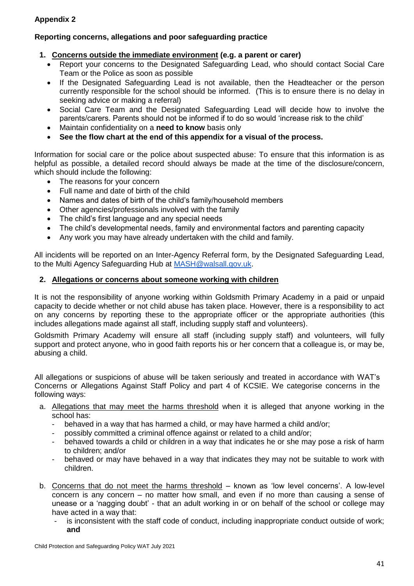## **Appendix 2**

## **Reporting concerns, allegations and poor safeguarding practice**

## **1. Concerns outside the immediate environment (e.g. a parent or carer)**

- Report your concerns to the Designated Safeguarding Lead, who should contact Social Care Team or the Police as soon as possible
- If the Designated Safeguarding Lead is not available, then the Headteacher or the person currently responsible for the school should be informed. (This is to ensure there is no delay in seeking advice or making a referral)
- Social Care Team and the Designated Safeguarding Lead will decide how to involve the parents/carers. Parents should not be informed if to do so would 'increase risk to the child'
- Maintain confidentiality on a **need to know** basis only
- **See the flow chart at the end of this appendix for a visual of the process.**

Information for social care or the police about suspected abuse: To ensure that this information is as helpful as possible, a detailed record should always be made at the time of the disclosure/concern, which should include the following:

- The reasons for your concern
- Full name and date of birth of the child
- Names and dates of birth of the child's family/household members
- Other agencies/professionals involved with the family
- The child's first language and any special needs
- The child's developmental needs, family and environmental factors and parenting capacity
- Any work you may have already undertaken with the child and family.

All incidents will be reported on an Inter-Agency Referral form, by the Designated Safeguarding Lead, to the Multi Agency Safeguarding Hub at [MASH@walsall.gov.uk.](mailto:MASH@walsall.gov.uk)

## **2. Allegations or concerns about someone working with children**

It is not the responsibility of anyone working within Goldsmith Primary Academy in a paid or unpaid capacity to decide whether or not child abuse has taken place. However, there is a responsibility to act on any concerns by reporting these to the appropriate officer or the appropriate authorities (this includes allegations made against all staff, including supply staff and volunteers).

Goldsmith Primary Academy will ensure all staff (including supply staff) and volunteers, will fully support and protect anyone, who in good faith reports his or her concern that a colleague is, or may be, abusing a child.

All allegations or suspicions of abuse will be taken seriously and treated in accordance with WAT's Concerns or Allegations Against Staff Policy and part 4 of KCSIE. We categorise concerns in the following ways:

- a. Allegations that may meet the harms threshold when it is alleged that anyone working in the school has:
	- behaved in a way that has harmed a child, or may have harmed a child and/or;
	- possibly committed a criminal offence against or related to a child and/or;
	- behaved towards a child or children in a way that indicates he or she may pose a risk of harm to children; and/or
	- behaved or may have behaved in a way that indicates they may not be suitable to work with children.
- b. Concerns that do not meet the harms threshold known as 'low level concerns'. A low-level concern is any concern – no matter how small, and even if no more than causing a sense of unease or a 'nagging doubt' - that an adult working in or on behalf of the school or college may have acted in a way that:
	- is inconsistent with the staff code of conduct, including inappropriate conduct outside of work; **and**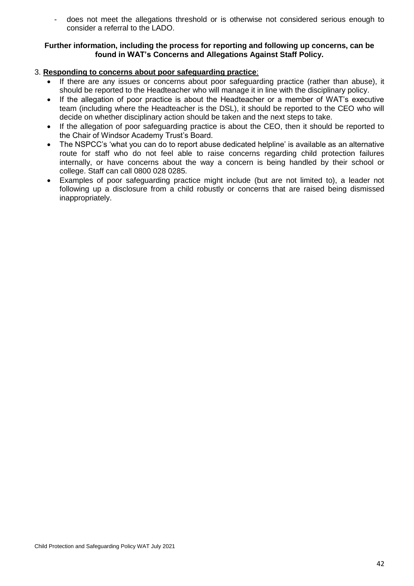- does not meet the allegations threshold or is otherwise not considered serious enough to consider a referral to the LADO.

#### **Further information, including the process for reporting and following up concerns, can be found in WAT's Concerns and Allegations Against Staff Policy.**

## 3. **Responding to concerns about poor safeguarding practice**:

- If there are any issues or concerns about poor safeguarding practice (rather than abuse), it should be reported to the Headteacher who will manage it in line with the disciplinary policy.
- If the allegation of poor practice is about the Headteacher or a member of WAT's executive team (including where the Headteacher is the DSL), it should be reported to the CEO who will decide on whether disciplinary action should be taken and the next steps to take.
- If the allegation of poor safeguarding practice is about the CEO, then it should be reported to the Chair of Windsor Academy Trust's Board.
- The NSPCC's 'what you can do to report abuse dedicated helpline' is available as an alternative route for staff who do not feel able to raise concerns regarding child protection failures internally, or have concerns about the way a concern is being handled by their school or college. Staff can call 0800 028 0285.
- Examples of poor safeguarding practice might include (but are not limited to), a leader not following up a disclosure from a child robustly or concerns that are raised being dismissed inappropriately.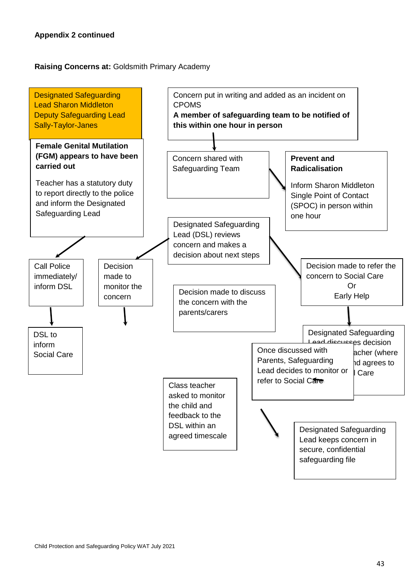## **Raising Concerns at:** Goldsmith Primary Academy

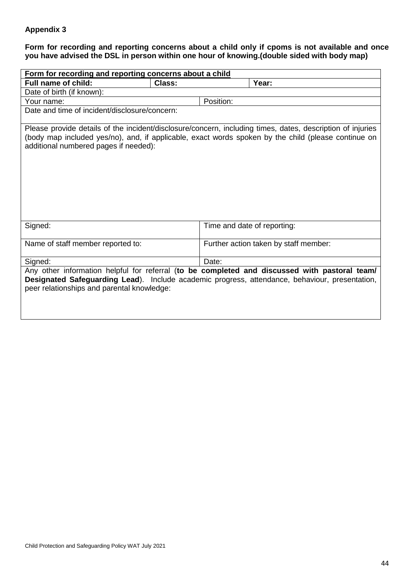## **Appendix 3**

## **Form for recording and reporting concerns about a child only if cpoms is not available and once you have advised the DSL in person within one hour of knowing.(double sided with body map)**

| Form for recording and reporting concerns about a child |        |                                                                                                                                                                                                                   |
|---------------------------------------------------------|--------|-------------------------------------------------------------------------------------------------------------------------------------------------------------------------------------------------------------------|
| <b>Full name of child:</b>                              | Class: | Year:                                                                                                                                                                                                             |
| Date of birth (if known):                               |        |                                                                                                                                                                                                                   |
| Your name:                                              |        | Position:                                                                                                                                                                                                         |
| Date and time of incident/disclosure/concern:           |        |                                                                                                                                                                                                                   |
| additional numbered pages if needed):                   |        | Please provide details of the incident/disclosure/concern, including times, dates, description of injuries<br>(body map included yes/no), and, if applicable, exact words spoken by the child (please continue on |
| Signed:                                                 |        | Time and date of reporting:                                                                                                                                                                                       |
| Name of staff member reported to:                       |        | Further action taken by staff member:                                                                                                                                                                             |
| Signed:                                                 |        | Date:                                                                                                                                                                                                             |
| peer relationships and parental knowledge:              |        | Any other information helpful for referral (to be completed and discussed with pastoral team/<br>Designated Safeguarding Lead). Include academic progress, attendance, behaviour, presentation,                   |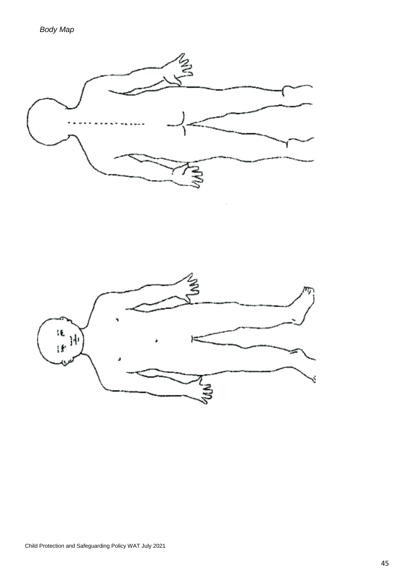

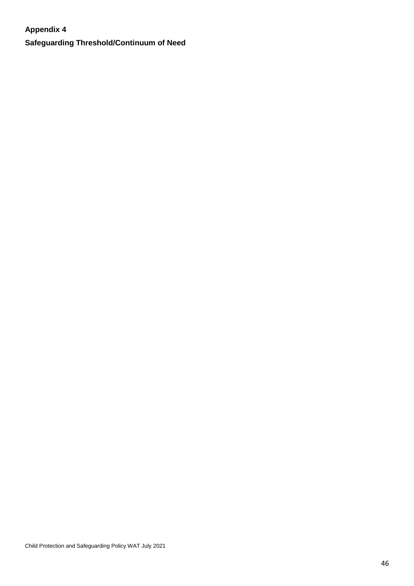## **Appendix 4**

**Safeguarding Threshold/Continuum of Need**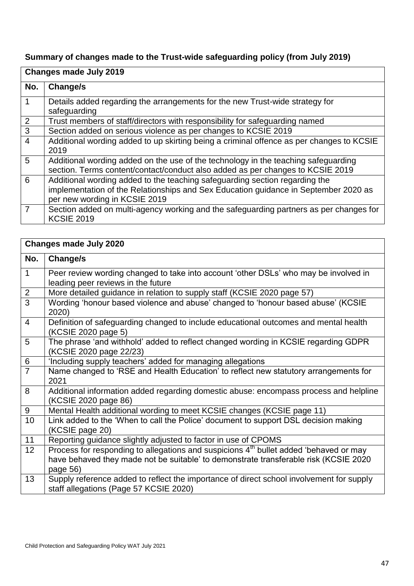# **Summary of changes made to the Trust-wide safeguarding policy (from July 2019)**

|                | <b>Changes made July 2019</b>                                                                                                                                                                       |  |
|----------------|-----------------------------------------------------------------------------------------------------------------------------------------------------------------------------------------------------|--|
| No.            | Change/s                                                                                                                                                                                            |  |
| 1              | Details added regarding the arrangements for the new Trust-wide strategy for<br>safeguarding                                                                                                        |  |
| 2              | Trust members of staff/directors with responsibility for safeguarding named                                                                                                                         |  |
| 3              | Section added on serious violence as per changes to KCSIE 2019                                                                                                                                      |  |
| $\overline{4}$ | Additional wording added to up skirting being a criminal offence as per changes to KCSIE<br>2019                                                                                                    |  |
| 5              | Additional wording added on the use of the technology in the teaching safeguarding<br>section. Terms content/contact/conduct also added as per changes to KCSIE 2019                                |  |
| 6              | Additional wording added to the teaching safeguarding section regarding the<br>implementation of the Relationships and Sex Education guidance in September 2020 as<br>per new wording in KCSIE 2019 |  |
| 7              | Section added on multi-agency working and the safeguarding partners as per changes for<br><b>KCSIE 2019</b>                                                                                         |  |

|                 | <b>Changes made July 2020</b>                                                                                                                                                                         |  |  |
|-----------------|-------------------------------------------------------------------------------------------------------------------------------------------------------------------------------------------------------|--|--|
| No.             | Change/s                                                                                                                                                                                              |  |  |
| $\mathbf{1}$    | Peer review wording changed to take into account 'other DSLs' who may be involved in<br>leading peer reviews in the future                                                                            |  |  |
| $\sqrt{2}$      | More detailed guidance in relation to supply staff (KCSIE 2020 page 57)                                                                                                                               |  |  |
| $\overline{3}$  | Wording 'honour based violence and abuse' changed to 'honour based abuse' (KCSIE<br>2020)                                                                                                             |  |  |
| $\overline{4}$  | Definition of safeguarding changed to include educational outcomes and mental health<br>(KCSIE 2020 page 5)                                                                                           |  |  |
| $\overline{5}$  | The phrase 'and withhold' added to reflect changed wording in KCSIE regarding GDPR<br>(KCSIE 2020 page 22/23)                                                                                         |  |  |
| $6\phantom{1}6$ | 'Including supply teachers' added for managing allegations                                                                                                                                            |  |  |
| $\overline{7}$  | Name changed to 'RSE and Health Education' to reflect new statutory arrangements for<br>2021                                                                                                          |  |  |
| 8               | Additional information added regarding domestic abuse: encompass process and helpline<br>(KCSIE 2020 page 86)                                                                                         |  |  |
| $9\,$           | Mental Health additional wording to meet KCSIE changes (KCSIE page 11)                                                                                                                                |  |  |
| 10              | Link added to the 'When to call the Police' document to support DSL decision making<br>(KCSIE page 20)                                                                                                |  |  |
| 11              | Reporting guidance slightly adjusted to factor in use of CPOMS                                                                                                                                        |  |  |
| 12              | Process for responding to allegations and suspicions 4 <sup>th</sup> bullet added 'behaved or may<br>have behaved they made not be suitable' to demonstrate transferable risk (KCSIE 2020<br>page 56) |  |  |
| 13              | Supply reference added to reflect the importance of direct school involvement for supply<br>staff allegations (Page 57 KCSIE 2020)                                                                    |  |  |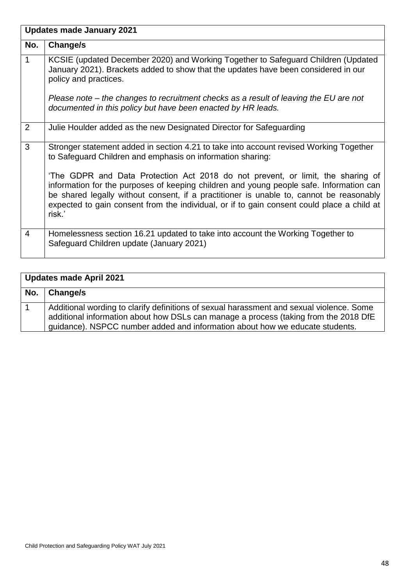|                | <b>Updates made January 2021</b>                                                                                                                                                                                                                                                                                                                                              |
|----------------|-------------------------------------------------------------------------------------------------------------------------------------------------------------------------------------------------------------------------------------------------------------------------------------------------------------------------------------------------------------------------------|
| No.            | Change/s                                                                                                                                                                                                                                                                                                                                                                      |
| $\mathbf{1}$   | KCSIE (updated December 2020) and Working Together to Safeguard Children (Updated<br>January 2021). Brackets added to show that the updates have been considered in our<br>policy and practices.                                                                                                                                                                              |
|                | Please note – the changes to recruitment checks as a result of leaving the EU are not<br>documented in this policy but have been enacted by HR leads.                                                                                                                                                                                                                         |
| 2              | Julie Houlder added as the new Designated Director for Safeguarding                                                                                                                                                                                                                                                                                                           |
| 3              | Stronger statement added in section 4.21 to take into account revised Working Together<br>to Safeguard Children and emphasis on information sharing:                                                                                                                                                                                                                          |
|                | 'The GDPR and Data Protection Act 2018 do not prevent, or limit, the sharing of<br>information for the purposes of keeping children and young people safe. Information can<br>be shared legally without consent, if a practitioner is unable to, cannot be reasonably<br>expected to gain consent from the individual, or if to gain consent could place a child at<br>risk.' |
| $\overline{4}$ | Homelessness section 16.21 updated to take into account the Working Together to<br>Safeguard Children update (January 2021)                                                                                                                                                                                                                                                   |

| <b>Updates made April 2021</b> |                                                                                                                                                                                                                                                                  |
|--------------------------------|------------------------------------------------------------------------------------------------------------------------------------------------------------------------------------------------------------------------------------------------------------------|
| No.                            | Change/s                                                                                                                                                                                                                                                         |
|                                | Additional wording to clarify definitions of sexual harassment and sexual violence. Some<br>additional information about how DSLs can manage a process (taking from the 2018 DfE<br>guidance). NSPCC number added and information about how we educate students. |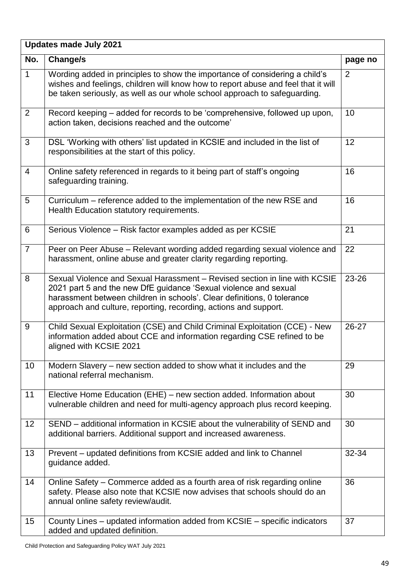|                | Updates made July 2021                                                                                                                                                                                                                                                                        |         |  |  |
|----------------|-----------------------------------------------------------------------------------------------------------------------------------------------------------------------------------------------------------------------------------------------------------------------------------------------|---------|--|--|
| No.            | Change/s                                                                                                                                                                                                                                                                                      | page no |  |  |
| $\mathbf{1}$   | Wording added in principles to show the importance of considering a child's<br>wishes and feelings, children will know how to report abuse and feel that it will<br>be taken seriously, as well as our whole school approach to safeguarding.                                                 | 2       |  |  |
| 2              | Record keeping – added for records to be 'comprehensive, followed up upon,<br>action taken, decisions reached and the outcome'                                                                                                                                                                | 10      |  |  |
| 3              | DSL 'Working with others' list updated in KCSIE and included in the list of<br>responsibilities at the start of this policy.                                                                                                                                                                  | 12      |  |  |
| $\overline{4}$ | Online safety referenced in regards to it being part of staff's ongoing<br>safeguarding training.                                                                                                                                                                                             | 16      |  |  |
| 5              | Curriculum – reference added to the implementation of the new RSE and<br>Health Education statutory requirements.                                                                                                                                                                             | 16      |  |  |
| 6              | Serious Violence – Risk factor examples added as per KCSIE                                                                                                                                                                                                                                    | 21      |  |  |
| $\overline{7}$ | Peer on Peer Abuse - Relevant wording added regarding sexual violence and<br>harassment, online abuse and greater clarity regarding reporting.                                                                                                                                                | 22      |  |  |
| 8              | Sexual Violence and Sexual Harassment - Revised section in line with KCSIE<br>2021 part 5 and the new DfE guidance 'Sexual violence and sexual<br>harassment between children in schools'. Clear definitions, 0 tolerance<br>approach and culture, reporting, recording, actions and support. | 23-26   |  |  |
| 9              | Child Sexual Exploitation (CSE) and Child Criminal Exploitation (CCE) - New<br>information added about CCE and information regarding CSE refined to be<br>aligned with KCSIE 2021                                                                                                             | 26-27   |  |  |
| 10             | Modern Slavery – new section added to show what it includes and the<br>national referral mechanism.                                                                                                                                                                                           | 29      |  |  |
| 11             | Elective Home Education (EHE) – new section added. Information about<br>vulnerable children and need for multi-agency approach plus record keeping.                                                                                                                                           | 30      |  |  |
| 12             | SEND - additional information in KCSIE about the vulnerability of SEND and<br>additional barriers. Additional support and increased awareness.                                                                                                                                                | 30      |  |  |
| 13             | Prevent – updated definitions from KCSIE added and link to Channel<br>guidance added.                                                                                                                                                                                                         | 32-34   |  |  |
| 14             | Online Safety – Commerce added as a fourth area of risk regarding online<br>safety. Please also note that KCSIE now advises that schools should do an<br>annual online safety review/audit.                                                                                                   | 36      |  |  |
| 15             | County Lines - updated information added from KCSIE - specific indicators<br>added and updated definition.                                                                                                                                                                                    | 37      |  |  |